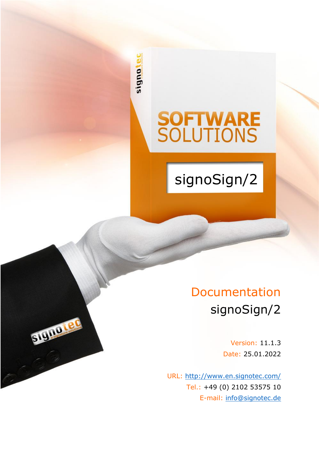signote

STUDIO LEO

# **SOFTWARE**<br>SOLUTIONS

signoSign/2

# Documentation signoSign/2

Version: 11.1.3 Date: 25.01.2022

URL: <http://www.en.signotec.com/> Tel.: +49 (0) 2102 53575 10 E-mail: [info@signotec.de](mailto:info@signotec.de?subject=signotec%20GmbH)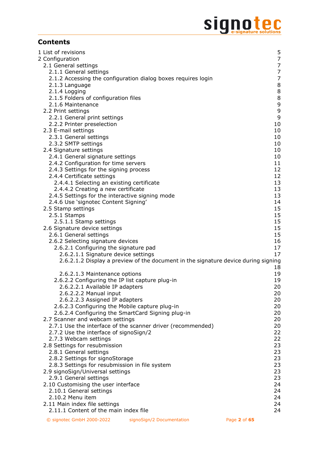# Signote C

# **Contents**

| 1 List of revisions                                                                |                |
|------------------------------------------------------------------------------------|----------------|
|                                                                                    | 5              |
| 2 Configuration                                                                    | 7              |
| 2.1 General settings                                                               | $\overline{7}$ |
| 2.1.1 General settings                                                             | 7              |
| 2.1.2 Accessing the configuration dialog boxes requires login                      | $\overline{7}$ |
| 2.1.3 Language                                                                     | $\bf 8$        |
| 2.1.4 Logging                                                                      | $\bf 8$        |
|                                                                                    |                |
| 2.1.5 Folders of configuration files                                               | $\,8\,$        |
| 2.1.6 Maintenance                                                                  | 9              |
| 2.2 Print settings                                                                 | 9              |
| 2.2.1 General print settings                                                       | 9              |
| 2.2.2 Printer preselection                                                         | 10             |
| 2.3 E-mail settings                                                                | 10             |
| 2.3.1 General settings                                                             | 10             |
| 2.3.2 SMTP settings                                                                | 10             |
|                                                                                    | 10             |
| 2.4 Signature settings                                                             |                |
| 2.4.1 General signature settings                                                   | 10             |
| 2.4.2 Configuration for time servers                                               | 11             |
| 2.4.3 Settings for the signing process                                             | 12             |
| 2.4.4 Certificate settings                                                         | 12             |
| 2.4.4.1 Selecting an existing certificate                                          | 13             |
| 2.4.4.2 Creating a new certificate                                                 | 13             |
| 2.4.5 Settings for the interactive signing mode                                    | 13             |
| 2.4.6 Use 'signotec Content Signing'                                               | 14             |
|                                                                                    | 15             |
| 2.5 Stamp settings                                                                 |                |
| 2.5.1 Stamps                                                                       | 15             |
| 2.5.1.1 Stamp settings                                                             | 15             |
| 2.6 Signature device settings                                                      | 15             |
| 2.6.1 General settings                                                             | 15             |
| 2.6.2 Selecting signature devices                                                  | 16             |
| 2.6.2.1 Configuring the signature pad                                              | 17             |
| 2.6.2.1.1 Signature device settings                                                | 17             |
| 2.6.2.1.2 Display a preview of the document in the signature device during signing |                |
|                                                                                    |                |
|                                                                                    | 18             |
| 2.6.2.1.3 Maintenance options                                                      | 19             |
| 2.6.2.2 Configuring the IP list capture plug-in                                    | 19             |
| 2.6.2.2.1 Available IP adapters                                                    | 20             |
| 2.6.2.2.2 Manual input                                                             | 20             |
| 2.6.2.2.3 Assigned IP adapters                                                     | 20             |
| 2.6.2.3 Configuring the Mobile capture plug-in                                     | 20             |
| 2.6.2.4 Configuring the SmartCard Signing plug-in                                  | 20             |
| 2.7 Scanner and webcam settings                                                    | 20             |
| 2.7.1 Use the interface of the scanner driver (recommended)                        | 20             |
|                                                                                    |                |
| 2.7.2 Use the interface of signoSign/2                                             | 22             |
| 2.7.3 Webcam settings                                                              | 22             |
| 2.8 Settings for resubmission                                                      | 23             |
| 2.8.1 General settings                                                             | 23             |
| 2.8.2 Settings for signoStorage                                                    | 23             |
| 2.8.3 Settings for resubmission in file system                                     | 23             |
| 2.9 signoSign/Universal settings                                                   | 23             |
| 2.9.1 General settings                                                             | 23             |
| 2.10 Customising the user interface                                                | 24             |
|                                                                                    |                |
| 2.10.1 General settings                                                            | 24             |
| 2.10.2 Menu item                                                                   | 24             |
| 2.11 Main index file settings                                                      | 24             |
| 2.11.1 Content of the main index file                                              | 24             |
|                                                                                    |                |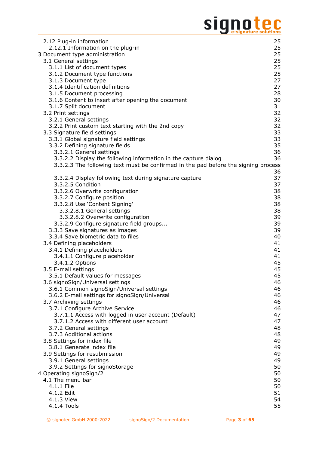# Signote C

| 2.12 Plug-in information                                                           | 25       |
|------------------------------------------------------------------------------------|----------|
| 2.12.1 Information on the plug-in                                                  | 25       |
| 3 Document type administration                                                     | 25       |
| 3.1 General settings                                                               | 25       |
| 3.1.1 List of document types                                                       | 25       |
| 3.1.2 Document type functions                                                      | 25       |
| 3.1.3 Document type                                                                | 27       |
| 3.1.4 Identification definitions                                                   | 27       |
| 3.1.5 Document processing                                                          | 28       |
| 3.1.6 Content to insert after opening the document                                 | 30       |
| 3.1.7 Split document                                                               | 31       |
| 3.2 Print settings                                                                 | 32       |
| 3.2.1 General settings                                                             | 32       |
| 3.2.2 Print custom text starting with the 2nd copy                                 | 32       |
| 3.3 Signature field settings                                                       | 33<br>33 |
| 3.3.1 Global signature field settings<br>3.3.2 Defining signature fields           | 35       |
| 3.3.2.1 General settings                                                           | 36       |
| 3.3.2.2 Display the following information in the capture dialog                    | 36       |
| 3.3.2.3 The following text must be confirmed in the pad before the signing process |          |
|                                                                                    | 36       |
| 3.3.2.4 Display following text during signature capture                            | 37       |
| 3.3.2.5 Condition                                                                  | 37       |
| 3.3.2.6 Overwrite configuration                                                    | 38       |
| 3.3.2.7 Configure position                                                         | 38       |
| 3.3.2.8 Use 'Content Signing'                                                      | 38       |
| 3.3.2.8.1 General settings                                                         | 38       |
| 3.3.2.8.2 Overwrite configuration                                                  | 39       |
| 3.3.2.9 Configure signature field groups                                           | 39       |
| 3.3.3 Save signatures as images                                                    | 39       |
| 3.3.4 Save biometric data to files                                                 | 40       |
| 3.4 Defining placeholders                                                          | 41       |
| 3.4.1 Defining placeholders                                                        | 41       |
| 3.4.1.1 Configure placeholder                                                      | 41       |
| 3.4.1.2 Options                                                                    | 45       |
| 3.5 E-mail settings                                                                | 45       |
| 3.5.1 Default values for messages                                                  | 45       |
| 3.6 signoSign/Universal settings                                                   | 46       |
| 3.6.1 Common signoSign/Universal settings                                          | 46       |
| 3.6.2 E-mail settings for signoSign/Universal                                      | 46       |
| 3.7 Archiving settings                                                             | 46       |
| 3.7.1 Configure Archive Service                                                    | 46       |
| 3.7.1.1 Access with logged in user account (Default)                               | 47       |
| 3.7.1.2 Access with different user account                                         | 47       |
| 3.7.2 General settings                                                             | 48       |
| 3.7.3 Additional actions                                                           | 48       |
| 3.8 Settings for index file                                                        | 49       |
| 3.8.1 Generate index file                                                          | 49       |
| 3.9 Settings for resubmission                                                      | 49       |
| 3.9.1 General settings                                                             | 49       |
| 3.9.2 Settings for signoStorage                                                    | 50       |
| 4 Operating signoSign/2                                                            | 50       |
| 4.1 The menu bar                                                                   | 50       |
| 4.1.1 File                                                                         | 50       |
| 4.1.2 Edit                                                                         | 51       |
| 4.1.3 View                                                                         | 54       |
| 4.1.4 Tools                                                                        | 55       |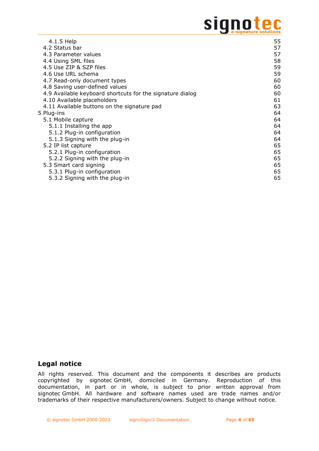# signote

| 4.1.5 Help                                                | 55 |
|-----------------------------------------------------------|----|
| 4.2 Status bar                                            | 57 |
| 4.3 Parameter values                                      | 57 |
| 4.4 Using SML files                                       | 58 |
| 4.5 Use ZIP & SZP files                                   | 59 |
| 4.6 Use URL schema                                        | 59 |
| 4.7 Read-only document types                              | 60 |
| 4.8 Saving user-defined values                            | 60 |
| 4.9 Available keyboard shortcuts for the signature dialog | 60 |
| 4.10 Available placeholders                               | 61 |
| 4.11 Available buttons on the signature pad               | 63 |
| 5 Plug-ins                                                | 64 |
| 5.1 Mobile capture                                        | 64 |
| 5.1.1 Installing the app                                  | 64 |
| 5.1.2 Plug-in configuration                               | 64 |
| 5.1.3 Signing with the plug-in                            | 64 |
| 5.2 IP list capture                                       | 65 |
| 5.2.1 Plug-in configuration                               | 65 |
| 5.2.2 Signing with the plug-in                            | 65 |
| 5.3 Smart card signing                                    | 65 |
| 5.3.1 Plug-in configuration                               | 65 |
| 5.3.2 Signing with the plug-in                            | 65 |

# **Legal notice**

All rights reserved. This document and the components it describes are products copyrighted by signotec GmbH, domiciled in Germany. Reproduction of this documentation, in part or in whole, is subject to prior written approval from signotec GmbH. All hardware and software names used are trade names and/or trademarks of their respective manufacturers/owners. Subject to change without notice.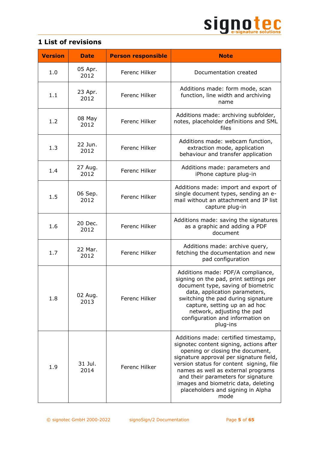

<span id="page-4-0"></span>

|  | <b>1 List of revisions</b> |  |
|--|----------------------------|--|
|  |                            |  |

| <b>Version</b> | <b>Date</b>     | <b>Person responsible</b> | <b>Note</b>                                                                                                                                                                                                                                                                                                                                                                |
|----------------|-----------------|---------------------------|----------------------------------------------------------------------------------------------------------------------------------------------------------------------------------------------------------------------------------------------------------------------------------------------------------------------------------------------------------------------------|
| 1.0            | 05 Apr.<br>2012 | Ferenc Hilker             | Documentation created                                                                                                                                                                                                                                                                                                                                                      |
| 1.1            | 23 Apr.<br>2012 | Ferenc Hilker             | Additions made: form mode, scan<br>function, line width and archiving<br>name                                                                                                                                                                                                                                                                                              |
| 1.2            | 08 May<br>2012  | Ferenc Hilker             | Additions made: archiving subfolder,<br>notes, placeholder definitions and SML<br>files                                                                                                                                                                                                                                                                                    |
| 1.3            | 22 Jun.<br>2012 | Ferenc Hilker             | Additions made: webcam function,<br>extraction mode, application<br>behaviour and transfer application                                                                                                                                                                                                                                                                     |
| 1.4            | 27 Aug.<br>2012 | Ferenc Hilker             | Additions made: parameters and<br>iPhone capture plug-in                                                                                                                                                                                                                                                                                                                   |
| 1.5            | 06 Sep.<br>2012 | Ferenc Hilker             | Additions made: import and export of<br>single document types, sending an e-<br>mail without an attachment and IP list<br>capture plug-in                                                                                                                                                                                                                                  |
| 1.6            | 20 Dec.<br>2012 | Ferenc Hilker             | Additions made: saving the signatures<br>as a graphic and adding a PDF<br>document                                                                                                                                                                                                                                                                                         |
| 1.7            | 22 Mar.<br>2012 | Ferenc Hilker             | Additions made: archive query,<br>fetching the documentation and new<br>pad configuration                                                                                                                                                                                                                                                                                  |
| 1.8            | 02 Aug.<br>2013 | Ferenc Hilker             | Additions made: PDF/A compliance,<br>signing on the pad, print settings per<br>document type, saving of biometric<br>data, application parameters,<br>switching the pad during signature<br>capture, setting up an ad hoc<br>network, adjusting the pad<br>configuration and information on<br>plug-ins                                                                    |
| 1.9            | 31 Jul.<br>2014 | <b>Ferenc Hilker</b>      | Additions made: certified timestamp,<br>signotec content signing, actions after<br>opening or closing the document,<br>signature approval per signature field,<br>version status for content signing, file<br>names as well as external programs<br>and their parameters for signature<br>images and biometric data, deleting<br>placeholders and signing in Alpha<br>mode |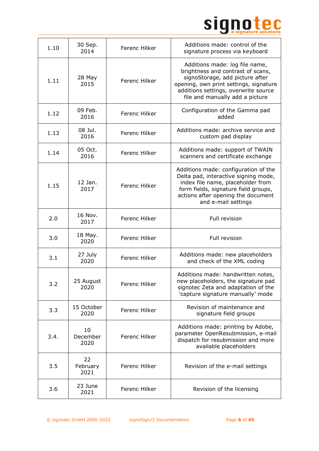

| 1.10 | 30 Sep.<br>2014        | Ferenc Hilker | Additions made: control of the<br>signature process via keyboard                                                                                                                                                            |
|------|------------------------|---------------|-----------------------------------------------------------------------------------------------------------------------------------------------------------------------------------------------------------------------------|
| 1.11 | 28 May<br>2015         | Ferenc Hilker | Additions made: log file name,<br>brightness and contrast of scans,<br>signoStorage, add picture after<br>opening, own print settings, signature<br>additions settings, overwrite source<br>file and manually add a picture |
| 1.12 | 09 Feb.<br>2016        | Ferenc Hilker | Configuration of the Gamma pad<br>added                                                                                                                                                                                     |
| 1.13 | 08 Jul.<br>2016        | Ferenc Hilker | Additions made: archive service and<br>custom pad display                                                                                                                                                                   |
| 1.14 | 05 Oct.<br>2016        | Ferenc Hilker | Additions made: support of TWAIN<br>scanners and certificate exchange                                                                                                                                                       |
| 1.15 | 12 Jan.<br>2017        | Ferenc Hilker | Additions made: configuration of the<br>Delta pad, interactive signing mode,<br>index file name, placeholder from<br>form fields, signature field groups,<br>actions after opening the document<br>and e-mail settings      |
| 2.0  | 16 Nov.<br>2017        | Ferenc Hilker | Full revision                                                                                                                                                                                                               |
| 3.0  | 18 May.<br>2020        | Ferenc Hilker | Full revision                                                                                                                                                                                                               |
| 3.1  | 27 July<br>2020        | Ferenc Hilker | Additions made: new placeholders<br>and check of the XML coding                                                                                                                                                             |
| 3.2  | 25 August<br>2020      | Ferenc Hilker | Additions made: handwritten notes,<br>new placeholders, the signature pad<br>signotec Zeta and adaptation of the<br>'capture signature manually' mode                                                                       |
| 3.3  | 15 October<br>2020     | Ferenc Hilker | Revision of maintenance and<br>signature field groups                                                                                                                                                                       |
| 3.4. | 10<br>December<br>2020 | Ferenc Hilker | Additions made: printing by Adobe,<br>parameter OpenResubmission, e-mail<br>dispatch for resubmission and more<br>available placeholders                                                                                    |
| 3.5  | 22<br>February<br>2021 | Ferenc Hilker | Revision of the e-mail settings                                                                                                                                                                                             |
| 3.6  | 23 June<br>2021        | Ferenc Hilker | Revision of the licensing                                                                                                                                                                                                   |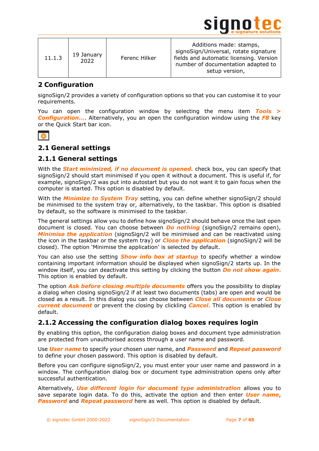

# <span id="page-6-0"></span>**2 Configuration**

signoSign/2 provides a variety of configuration options so that you can customise it to your requirements.

You can open the configuration window by selecting the menu item *Tools > Configuration…*. Alternatively, you an open the configuration window using the *F8* key or the Quick Start bar icon.



# <span id="page-6-1"></span>**2.1 General settings**

# <span id="page-6-2"></span>**2.1.1 General settings**

With the *Start minimized, if no document is opened.* check box, you can specify that signoSign/2 should start minimised if you open it without a document. This is useful if, for example, signoSign/2 was put into autostart but you do not want it to gain focus when the computer is started. This option is disabled by default.

With the *Minimize to System Tray* setting, you can define whether signoSign/2 should be minimised to the system tray or, alternatively, to the taskbar. This option is disabled by default, so the software is minimised to the taskbar.

The general settings allow you to define how signoSign/2 should behave once the last open document is closed. You can choose between *Do nothing* (signoSign/2 remains open), *Minimise the application* (signoSign/2 will be minimised and can be reactivated using the icon in the taskbar or the system tray) or *Close the application* (signoSign/2 will be closed). The option 'Minimise the application' is selected by default.

You can also use the setting *Show info box at startup* to specify whether a window containing important information should be displayed when signoSign/2 starts up. In the window itself, you can deactivate this setting by clicking the button *Do not show again*. This option is enabled by default.

The option *Ask before closing multiple documents* offers you the possibility to display a dialog when closing signoSign/2 if at least two documents (tabs) are open and would be closed as a result. In this dialog you can choose between *Close all documents* or *Close current document* or prevent the closing by clickling *Cancel*. This option is enabled by default.

# <span id="page-6-3"></span>**2.1.2 Accessing the configuration dialog boxes requires login**

By enabling this option, the configuration dialog boxes and document type administration are protected from unauthorised access through a user name and password.

Use *User name* to specify your chosen user name, and *Password* and *Repeat password* to define your chosen password. This option is disabled by default.

Before you can configure signoSign/2, you must enter your user name and password in a window. The configuration dialog box or document type administration opens only after successful authentication.

Alternatively, *Use different login for document type administration* allows you to save separate login data. To do this, activate the option and then enter *User name*, *Password* and *Repeat password* here as well. This option is disabled by default.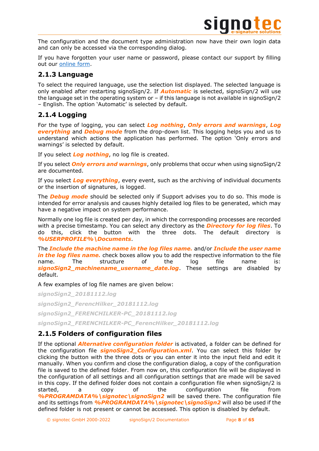

The configuration and the document type administration now have their own login data and can only be accessed via the corresponding dialog.

If you have forgotten your user name or password, please contact our support by filling out our [online form.](https://support.signotec.com/en/support/tickets/new)

# <span id="page-7-0"></span>**2.1.3 Language**

To select the required language, use the selection list displayed. The selected language is only enabled after restarting signoSign/2. If *Automatic* is selected, signoSign/2 will use the language set in the operating system or – if this language is not available in signoSign/2 – English. The option 'Automatic' is selected by default.

# <span id="page-7-1"></span>**2.1.4 Logging**

For the type of logging, you can select *Log nothing*, *Only errors and warnings*, *Log everything* and *Debug mode* from the drop-down list. This logging helps you and us to understand which actions the application has performed. The option 'Only errors and warnings' is selected by default.

If you select *Log nothing*, no log file is created.

If you select *Only errors and warnings*, only problems that occur when using signoSign/2 are documented.

If you select *Log everything*, every event, such as the archiving of individual documents or the insertion of signatures, is logged.

The *Debug mode* should be selected only if Support advises you to do so. This mode is intended for error analysis and causes highly detailed log files to be generated, which may have a negative impact on system performance.

Normally one log file is created per day, in which the corresponding processes are recorded with a precise timestamp. You can select any directory as the *Directory for log files*. To do this, click the button with the three dots. The default directory is *%USERPROFILE%\Documents*.

The *Include the machine name in the log files name.* and/or *Include the user name in the log files name.* check boxes allow you to add the respective information to the file name. The structure of the log file name is: *signoSign2\_machinename\_username\_date.log*. These settings are disabled by default.

A few examples of log file names are given below:

*signoSign2\_20181112.log signoSign2\_FerencHilker\_20181112.log signoSign2\_FERENCHILKER-PC\_20181112.log signoSign2\_FERENCHILKER-PC\_FerencHilker\_20181112.log*

# <span id="page-7-2"></span>**2.1.5 Folders of configuration files**

If the optional *Alternative configuration folder* is activated, a folder can be defined for the configuration file *signoSign2\_Configuration.xml*. You can select this folder by clicking the button with the three dots or you can enter it into the input field and edit it manually. When you confirm and close the configuration dialog, a copy of the configuration file is saved to the defined folder. From now on, this configuration file will be displayed in the configuration of all settings and all configuration settings that are made will be saved in this copy. If the defined folder does not contain a configuration file when signoSign/2 is started, a copy of the configuration file from *%PROGRAMDATA%\signotec\signoSign2* will be saved there. The configuration file and its settings from *%PROGRAMDATA%\signotec\signoSign2* will also be used if the defined folder is not present or cannot be accessed. This option is disabled by default.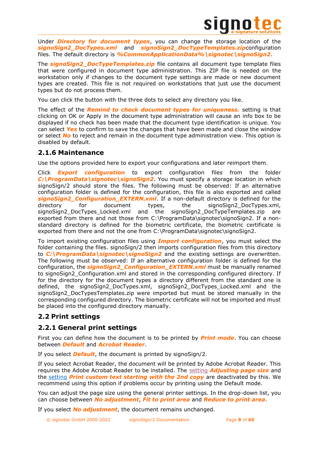

Under *Directory for document types*, you can change the storage location of the *signoSign2\_DocTypes.xml* and *signoSign2\_DocTypeTemplates.zip*configuration files. The default directory is **%CommonApplicationData%\signotec\signoSign2**.

The *signoSign2\_DocTypeTemplates.zip* file contains all document type template files that were configured in document type administration. This ZIP file is needed on the workstation only if changes to the document type settings are made or new document types are created. This file is not required on workstations that just use the document types but do not process them.

You can click the button with the three dots to select any directory you like.

The effect of the *Remind to check document types for uniqueness.* setting is that clicking on OK or Apply in the document type administration will cause an info box to be displayed if no check has been made that the document type identification is unique. You can select *Yes* to confirm to save the changes that have been made and close the window or select *No* to reject and remain in the document type administration view. This option is disabled by default.

# <span id="page-8-0"></span>**2.1.6 Maintenance**

Use the options provided here to export your configurations and later reimport them.

Click *Export configuration* to export configuration files from the folder *C:\ProgramData\signotec\signoSign2*. You must specify a storage location in which signoSign/2 should store the files. The following must be observed: If an alternative configuration folder is defined for the configuration, this file is also exported and called *signoSign2\_Configuration\_EXTERN.xml*. If a non-default directory is defined for the directory for document types, the signoSign2\_DocTypes.xml, signoSign2\_DocTypes\_Locked.xml and the signoSign2\_DocTypeTemplates.zip are exported from there and not those from C:\ProgramData\signotec\signoSign2. If a nonstandard directory is defined for the biometric certificate, the biometric certificate is exported from there and not the one from C:\ProgramData\signotec\signoSign2.

To import existing configuration files using *Import configuration*, you must select the folder containing the files. signoSign/2 then imports configuration files from this directory to *C:\ProgramData\signotec\signoSign2* and the existing settings are overwritten. The following must be observed: If an alternative configuration folder is defined for the configuration, the *signoSign2\_Configuration\_EXTERN.xml* must be manually renamed to signoSign2\_Configuration.xml and stored in the corresponding configured directory. If for the directory for the document types a directory different from the standard one is defined, the signoSign2 DocTypes.xml, signoSign2 DocTypes Locked.xml and the signoSign2\_DocTypesTemplates.zip were imported but must be stored manually in the corresponding configured directory. The biometric certificate will not be imported and must be placed into the configured directory manually.

# <span id="page-8-1"></span>**2.2 Print settings**

# <span id="page-8-2"></span>**2.2.1 General print settings**

First you can define how the document is to be printed by *Print mode*. You can choose between *Default* and *Acrobat Reader*.

If you select *Default*, the document is printed by signoSign/2.

If you select Acrobat Reader, the document will be printed by Adobe Acrobat Reader. This requires the Adobe Acrobat Reader to be installed. The [setting](#page-8-2) *Adjusting page size* and the [setting](#page-31-2) *Print custom text starting with the 2nd copy* are deactivated by this. We recommend using this option if problems occur by printing using the Default mode.

You can adjust the page size using the general printer settings. In the drop-down list, you can choose between *No adjustment*, *Fit to print area* and *Reduce to print area*.

If you select *No adjustment*, the document remains unchanged.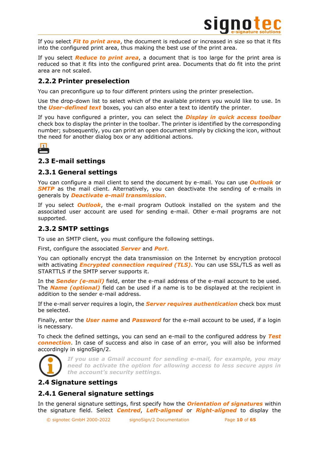

If you select *Fit to print area*, the document is reduced or increased in size so that it fits into the configured print area, thus making the best use of the print area.

If you select *Reduce to print area*, a document that is too large for the print area is reduced so that it fits into the configured print area. Documents that do fit into the print area are not scaled.

# <span id="page-9-0"></span>**2.2.2 Printer preselection**

You can preconfigure up to four different printers using the printer preselection.

Use the drop-down list to select which of the available printers you would like to use. In the *User-defined text* boxes, you can also enter a text to identify the printer.

If you have configured a printer, you can select the *Display in quick access toolbar* check box to display the printer in the toolbar. The printer is identified by the corresponding number; subsequently, you can print an open document simply by clicking the icon, without the need for another dialog box or any additional actions.



# <span id="page-9-1"></span>**2.3 E-mail settings**

# <span id="page-9-2"></span>**2.3.1 General settings**

You can configure a mail client to send the document by e-mail. You can use *Outlook* or **SMTP** as the mail client. Alternatively, you can deactivate the sending of e-mails in generals by *Deactivate e-mail transmission*.

If you select *Outlook*, the e-mail program Outlook installed on the system and the associated user account are used for sending e-mail. Other e-mail programs are not supported.

# <span id="page-9-3"></span>**2.3.2 SMTP settings**

To use an SMTP client, you must configure the following settings.

First, configure the associated *Server* and *Port*.

You can optionally encrypt the data transmission on the Internet by encryption protocol with activating *Encrypted connection required (TLS)*. You can use SSL/TLS as well as STARTTLS if the SMTP server supports it.

In the *Sender (e-mail)* field, enter the e-mail address of the e-mail account to be used. The *Name (optional)* field can be used if a name is to be displayed at the recipient in addition to the sender e-mail address.

If the e-mail server requires a login, the *Server requires authentication* check box must be selected.

Finally, enter the *User name* and *Password* for the e-mail account to be used, if a login is necessary.

To check the defined settings, you can send an e-mail to the configured address by *Test connection*. In case of success and also in case of an error, you will also be informed accordingly in signoSign/2.



*If you use a Gmail account for sending e-mail, for example, you may need to activate the option for allowing access to less secure apps in the account's security settings.*

# <span id="page-9-4"></span>**2.4 Signature settings**

# <span id="page-9-5"></span>**2.4.1 General signature settings**

In the general signature settings, first specify how the *Orientation of signatures* within the signature field. Select *Centred*, *Left-aligned* or *Right-aligned* to display the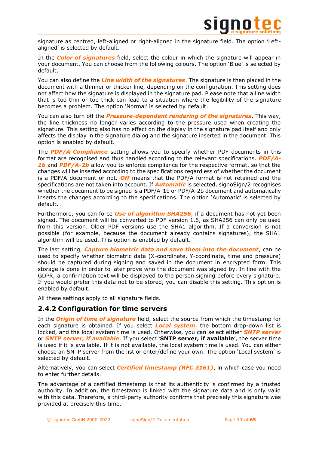

signature as centred, left-aligned or right-aligned in the signature field. The option 'Leftaligned' is selected by default.

In the *Color of signatures* field, select the colour in which the signature will appear in your document. You can choose from the following colours. The option 'Blue' is selected by default.

You can also define the *Line width of the signatures*. The signature is then placed in the document with a thinner or thicker line, depending on the configuration. This setting does not affect how the signature is displayed in the signature pad. Please note that a line width that is too thin or too thick can lead to a situation where the legibility of the signature becomes a problem. The option 'Normal' is selected by default.

You can also turn off the *Pressure-dependent rendering of the signatures*. This way, the line thickness no longer varies according to the pressure used when creating the signature. This setting also has no effect on the display in the signature pad itself and only affects the display in the signature dialog and the signature inserted in the document. This option is enabled by default.

The *PDF/A Compliance* setting allows you to specify whether PDF documents in this format are recognised and thus handled according to the relevant specifications. *PDF/A-***1b** and **PDF/A-2b** allow you to enforce compliance for the respective format, so that the changes will be inserted according to the specifications regardless of whether the document is a PDF/A document or not. *Off* means that the PDF/A format is not retained and the specifications are not taken into account. If *Automatic* is selected, signoSign/2 recognises whether the document to be signed is a PDF/A-1b or PDF/A-2b document and automatically inserts the changes according to the specifications. The option 'Automatic' is selected by default.

Furthermore, you can force *Use of algorithm SHA256*, if a document has not yet been signed. The document will be converted to PDF version 1.6, as SHA256 can only be used from this version. Older PDF versions use the SHA1 algorithm. If a conversion is not possible (for example, because the document already contains signatures), the SHA1 algorithm will be used. This option is enabled by default.

The last setting, *Capture biometric data and save them into the document*, can be used to specify whether biometric data (X-coordinate, Y-coordinate, time and pressure) should be captured during signing and saved in the document in encrypted form. This storage is done in order to later prove who the document was signed by. In line with the GDPR, a confirmation text will be displayed to the person signing before every signature. If you would prefer this data not to be stored, you can disable this setting. This option is enabled by default.

All these settings apply to all signature fields.

# <span id="page-10-0"></span>**2.4.2 Configuration for time servers**

In the *Origin of time of signature* field, select the source from which the timestamp for each signature is obtained. If you select *Local system*, the bottom drop-down list is locked, and the local system time is used. Otherwise, you can select either *SNTP server* or *SNTP server, if available*. If you select '**SNTP server, if available**', the server time is used if it is available. If it is not available, the local system time is used. You can either choose an SNTP server from the list or enter/define your own. The option 'Local system' is selected by default.

Alternatively, you can select *Certified timestamp (RFC 3161)*, in which case you need to enter further details.

The advantage of a certified timestamp is that its authenticity is confirmed by a trusted authority. In addition, the timestamp is linked with the signature data and is only valid with this data. Therefore, a third-party authority confirms that precisely this signature was provided at precisely this time.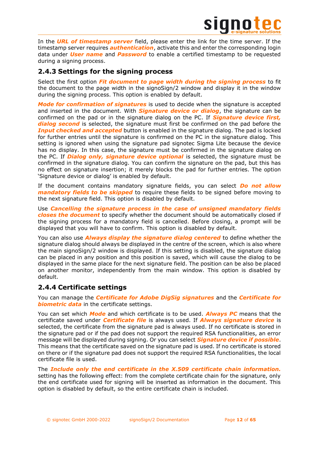

In the *URL of timestamp server* field, please enter the link for the time server. If the timestamp server requires *authentication*, activate this and enter the corresponding login data under *User name* and *Password* to enable a certified timestamp to be requested during a signing process.

# <span id="page-11-0"></span>**2.4.3 Settings for the signing process**

Select the first option *Fit document to page width during the signing process* to fit the document to the page width in the signoSign/2 window and display it in the window during the signing process. This option is enabled by default.

*Mode for confirmation of signatures* is used to decide when the signature is accepted and inserted in the document. With *Signature device or dialog*, the signature can be confirmed on the pad or in the signature dialog on the PC. If *Signature device first, dialog second* is selected, the signature must first be confirmed on the pad before the *Input checked and accepted* button is enabled in the signature dialog. The pad is locked for further entries until the signature is confirmed on the PC in the signature dialog. This setting is ignored when using the signature pad signotec Sigma Lite because the device has no display. In this case, the signature must be confirmed in the signature dialog on the PC. If *Dialog only, signature device optional* is selected, the signature must be confirmed in the signature dialog. You can confirm the signature on the pad, but this has no effect on signature insertion; it merely blocks the pad for further entries. The option 'Signature device or dialog' is enabled by default.

If the document contains mandatory signature fields, you can select *Do not allow mandatory fields to be skipped* to require these fields to be signed before moving to the next signature field. This option is disabled by default.

Use *Cancelling the signature process in the case of unsigned mandatory fields closes the document* to specify whether the document should be automatically closed if the signing process for a mandatory field is cancelled. Before closing, a prompt will be displayed that you will have to confirm. This option is disabled by default.

You can also use *Always display the signature dialog centered* to define whether the signature dialog should always be displayed in the centre of the screen, which is also where the main signoSign/2 window is displayed. If this setting is disabled, the signature dialog can be placed in any position and this position is saved, which will cause the dialog to be displayed in the same place for the next signature field. The position can be also be placed on another monitor, independently from the main window. This option is disabled by default.

# <span id="page-11-1"></span>**2.4.4 Certificate settings**

You can manage the *Certificate for Adobe DigSig signatures* and the *Certificate for biometric data* in the certificate settings.

You can set which *Mode* and which certificate is to be used. *Always PC* means that the certificate saved under *Certificate file* is always used. If *Always signature device* is selected, the certificate from the signature pad is always used. If no certificate is stored in the signature pad or if the pad does not support the required RSA functionalities, an error message will be displayed during signing. Or you can select *Signature device if possible*. This means that the certificate saved on the signature pad is used. If no certificate is stored on there or if the signature pad does not support the required RSA functionalities, the local certificate file is used.

The *Include only the end certificate in the X.509 certificate chain information.* setting has the following effect: from the complete certificate chain for the signature, only the end certificate used for signing will be inserted as information in the document. This option is disabled by default, so the entire certificate chain is included.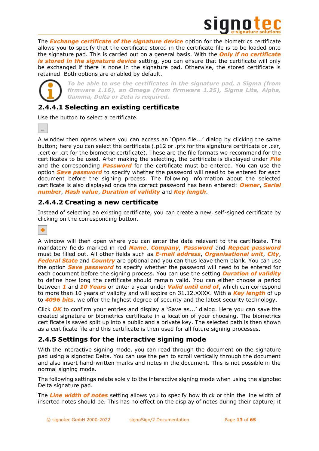

The *Exchange certificate of the signature device* option for the biometrics certificate allows you to specify that the certificate stored in the certificate file is to be loaded onto the signature pad. This is carried out on a general basis. With the *Only if no certificate*  is stored in the signature device setting, you can ensure that the certificate will only be exchanged if there is none in the signature pad. Otherwise, the stored certificate is retained. Both options are enabled by default.



*To be able to use the certificates in the signature pad, a Sigma (from firmware 1.16), an Omega (from firmware 1.25), Sigma Lite, Alpha, Gamma, Delta or Zeta is required.*

# <span id="page-12-0"></span>**2.4.4.1 Selecting an existing certificate**

Use the button to select a certificate.

A window then opens where you can access an 'Open file...' dialog by clicking the same button; here you can select the certificate (.p12 or .pfx for the signature certificate or .cer, .cert or .crt for the biometric certificate). These are the file formats we recommend for the certificates to be used. After making the selecting, the certificate is displayed under *File* and the corresponding *Password* for the certificate must be entered. You can use the option *Save password* to specify whether the password will need to be entered for each document before the signing process. The following information about the selected certificate is also displayed once the correct password has been entered: *Owner*, *Serial number*, *Hash value*, *Duration of validity* and *Key length*.

# <span id="page-12-1"></span>**2.4.4.2 Creating a new certificate**

Instead of selecting an existing certificate, you can create a new, self-signed certificate by clicking on the corresponding button.

٠

A window will then open where you can enter the data relevant to the certificate. The mandatory fields marked in red *Name*, *Company*, *Password* and *Repeat password* must be filled out. All other fields such as *E-mail address*, *Organisational unit*, *City*, **Federal State** and **Country** are optional and you can thus leave them blank. You can use the option *Save password* to specify whether the password will need to be entered for each document before the signing process. You can use the setting *Duration of validity* to define how long the certificate should remain valid. You can either choose a period between *1* and *10 Years* or enter a year under *Valid until end of*, which can correspond to more than 10 years of validity and will expire on 31.12.XXXX. With a *Key length* of up to *4096 bits*, we offer the highest degree of security and the latest security technology.

Click *OK* to confirm your entries and display a 'Save as...' dialog. Here you can save the created signature or biometrics certificate in a location of your choosing. The biometrics certificate is saved split up into a public and a private key. The selected path is then shown as a certificate file and this certificate is then used for all future signing processes.

# <span id="page-12-2"></span>**2.4.5 Settings for the interactive signing mode**

With the interactive signing mode, you can read through the document on the signature pad using a signotec Delta. You can use the pen to scroll vertically through the document and also insert hand-written marks and notes in the document. This is not possible in the normal signing mode.

The following settings relate solely to the interactive signing mode when using the signotec Delta signature pad.

The *Line width of notes* setting allows you to specify how thick or thin the line width of inserted notes should be. This has no effect on the display of notes during their capture; it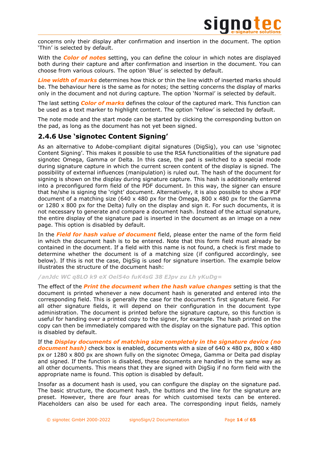

concerns only their display after confirmation and insertion in the document. The option 'Thin' is selected by default.

With the *Color of notes* setting, you can define the colour in which notes are displayed both during their capture and after confirmation and insertion in the document. You can choose from various colours. The option 'Blue' is selected by default.

*Line width of marks* determines how thick or thin the line width of inserted marks should be. The behaviour here is the same as for notes; the setting concerns the display of marks only in the document and not during capture. The option 'Normal' is selected by default.

The last setting *Color of marks* defines the colour of the captured mark. This function can be used as a text marker to highlight content. The option 'Yellow' is selected by default.

The note mode and the start mode can be started by clicking the corresponding button on the pad, as long as the document has not yet been signed.

# <span id="page-13-0"></span>**2.4.6 Use 'signotec Content Signing'**

As an alternative to Adobe-compliant digital signatures (DigSig), you can use 'signotec Content Signing'. This makes it possible to use the RSA functionalities of the signature pad signotec Omega, Gamma or Delta. In this case, the pad is switched to a special mode during signature capture in which the current screen content of the display is signed. The possibility of external influences (manipulation) is ruled out. The hash of the document for signing is shown on the display during signature capture. This hash is additionally entered into a preconfigured form field of the PDF document. In this way, the signer can ensure that he/she is signing the 'right' document. Alternatively, it is also possible to show a PDF document of a matching size (640  $\times$  480 px for the Omega, 800  $\times$  480 px for the Gamma or  $1280 \times 800$  px for the Delta) fully on the display and sign it. For such documents, it is not necessary to generate and compare a document hash. Instead of the actual signature, the entire display of the signature pad is inserted in the document as an image on a new page. This option is disabled by default.

In the *Field for hash value of document* field, please enter the name of the form field in which the document hash is to be entered. Note that this form field must already be contained in the document. If a field with this name is not found, a check is first made to determine whether the document is of a matching size (if configured accordingly, see below). If this is not the case, DigSig is used for signature insertion. The example below illustrates the structure of the document hash:

### */anJdc WC q8LO k9 eX Oel54o fuK4sG 38 EJpv zu Lh yKuDg=*

The effect of the *Print the document when the hash value changes* setting is that the document is printed whenever a new document hash is generated and entered into the corresponding field. This is generally the case for the document's first signature field. For all other signature fields, it will depend on their configuration in the document type administration. The document is printed before the signature capture, so this function is useful for handing over a printed copy to the signer, for example. The hash printed on the copy can then be immediately compared with the display on the signature pad. This option is disabled by default.

If the *Display documents of matching size completely in the signature device (no document hash*) check box is enabled, documents with a size of 640 x 480 px, 800 x 480 px or 1280 x 800 px are shown fully on the signotec Omega, Gamma or Delta pad display and signed. If the function is disabled, these documents are handled in the same way as all other documents. This means that they are signed with DigSig if no form field with the appropriate name is found. This option is disabled by default.

Insofar as a document hash is used, you can configure the display on the signature pad. The basic structure, the document hash, the buttons and the line for the signature are preset. However, there are four areas for which customised texts can be entered. Placeholders can also be used for each area. The corresponding input fields, namely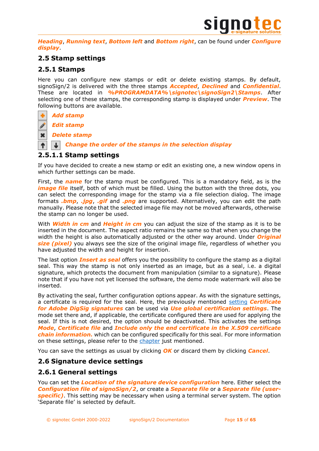

*Heading*, *Running text*, *Bottom left* and *Bottom right*, can be found under *Configure display*.

# <span id="page-14-0"></span>**2.5 Stamp settings**

# <span id="page-14-1"></span>**2.5.1 Stamps**

Here you can configure new stamps or edit or delete existing stamps. By default, signoSign/2 is delivered with the three stamps *Accepted*, *Declined* and *Confidential*. These are located in *%PROGRAMDATA%\signotec\signoSign2\Stamps*. After selecting one of these stamps, the corresponding stamp is displayed under *Preview*. The following buttons are available.

# *Add stamp*

*Edit stamp*

 $\mathbf x$ *Delete stamp*

*Change the order of the stamps in the selection display*

# <span id="page-14-2"></span>**2.5.1.1 Stamp settings**

If you have decided to create a new stamp or edit an existing one, a new window opens in which further settings can be made.

First, the *name* for the stamp must be configured. This is a mandatory field, as is the *image file* itself, both of which must be filled. Using the button with the three dots, you can select the corresponding image for the stamp via a file selection dialog. The image formats *.bmp*, *.jpg*, *.gif* and *.png* are supported. Alternatively, you can edit the path manually. Please note that the selected image file may not be moved afterwards, otherwise the stamp can no longer be used.

With *Width in cm* and *Height in cm* you can adjust the size of the stamp as it is to be inserted in the document. The aspect ratio remains the same so that when you change the width the height is also automatically adjusted or the other way around. Under *Original size (pixel)* you always see the size of the original image file, regardless of whether you have adjusted the width and height for insertion.

The last option *Insert as seal* offers you the possibility to configure the stamp as a digital seal. This way the stamp is not only inserted as an image, but as a seal, i.e. a digital signature, which protects the document from manipulation (similar to a signature). Please note that if you have not yet licensed the software, the demo mode watermark will also be inserted.

By activating the seal, further configuration options appear. As with the signature settings, a certificate is required for the seal. Here, the previously mentioned [setting](#page-11-1) *Certificate for Adobe DigSig signatures* can be used via *Use global certification settings*. The mode set there and, if applicable, the certificate configured there are used for applying the seal. If this is not desired, the option should be deactivated. This activates the settings *Mode*, *Certificate file* and *Include only the end certificate in the X.509 certificate chain information.* which can be configured specifically for this seal. For more information on these settings, please refer to the [chapter](#page-11-1) just mentioned.

You can save the settings as usual by clicking *OK* or discard them by clicking *Cancel*.

# <span id="page-14-3"></span>**2.6 Signature device settings**

# <span id="page-14-4"></span>**2.6.1 General settings**

You can set the *Location of the signature device configuration* here. Either select the *Configuration file of signoSign/2*, or create a *Separate file* or a *Separate file (userspecific)*. This setting may be necessary when using a terminal server system. The option 'Separate file' is selected by default.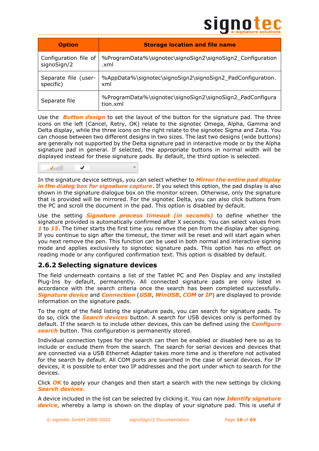# **SIGNO**

| <b>Option</b>         | <b>Storage location and file name</b>                                 |  |
|-----------------------|-----------------------------------------------------------------------|--|
| Configuration file of | %ProgramData%\signotec\signoSign2\signoSign2_Configuration            |  |
| signoSign/2           | .xml                                                                  |  |
| Separate file (user-  | %AppData%\signotec\signoSign2\signoSign2_PadConfiguration.            |  |
| specific)             | xml                                                                   |  |
| Separate file         | %ProgramData%\signotec\signoSign2\signoSign2_PadConfigura<br>tion.xml |  |

Use the *Button design* to set the layout of the button for the signature pad. The three icons on the left (Cancel, Retry, OK) relate to the signotec Omega, Alpha, Gamma and Delta display, while the three icons on the right relate to the signotec Sigma and Zeta. You can choose between two different designs in two sizes. The last two designs (wide buttons) are generally not supported by the Delta signature pad in interactive mode or by the Alpha signature pad in general. If selected, the appropriate buttons in normal width will be displayed instead for these signature pads. By default, the third option is selected.



In the signature device settings, you can select whether to *Mirror the entire pad display*  in the dialog box for signature capture. If you select this option, the pad display is also shown in the signature dialogue box on the monitor screen. Otherwise, only the signature that is provided will be mirrored. For the signotec Delta, you can also click buttons from the PC and scroll the document in the pad. This option is disabled by default.

Use the setting *Signature process timeout (in seconds)* to define whether the signature provided is automatically confirmed after X seconds. You can select values from *1* to *15*. The timer starts the first time you remove the pen from the display after signing. If you continue to sign after the timeout, the timer will be reset and will start again when you next remove the pen. This function can be used in both normal and interactive signing mode and applies exclusively to signotec signature pads. This option has no effect on reading mode or any configured confirmation text. This option is disabled by default.

# <span id="page-15-0"></span>**2.6.2 Selecting signature devices**

The field underneath contains a list of the Tablet PC and Pen Display and any installed Plug-Ins by default, permanently. All connected signature pads are only listed in accordance with the search criteria once the search has been completed successfully. *Signature device* and *Connection* (*USB*, *WinUSB*, *COM* or *IP*) are displayed to provide information on the signature pads.

To the right of the field listing the signature pads, you can search for signature pads. To do so, click the *Search devices* button. A search for USB devices only is performed by default. If the search is to include other devices, this can be defined using the *Configure search* button. This configuration is permanently stored.

Individual connection types for the search can then be enabled or disabled here so as to include or exclude them from the search. The search for serial devices and devices that are connected via a USB Ethernet Adapter takes more time and is therefore not activated for the search by default. All COM ports are searched in the case of serial devices. For IP devices, it is possible to enter two IP addresses and the port under which to search for the devices.

Click *OK* to apply your changes and then start a search with the new settings by clicking *Search devices*.

A device included in the list can be selected by clicking it. You can now *Identify signature device*, whereby a lamp is shown on the display of your signature pad. This is useful if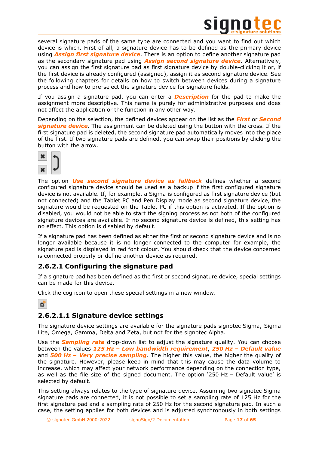

several signature pads of the same type are connected and you want to find out which device is which. First of all, a signature device has to be defined as the primary device using *Assign first signature device*. There is an option to define another signature pad as the secondary signature pad using *Assign second signature device*. Alternatively, you can assign the first signature pad as first signature device by double-clicking it or, if the first device is already configured (assigned), assign it as second signature device. See the following chapters for details on how to switch between devices during a signature process and how to pre-select the signature device for signature fields.

If you assign a signature pad, you can enter a *Description* for the pad to make the assignment more descriptive. This name is purely for administrative purposes and does not affect the application or the function in any other way.

Depending on the selection, the defined devices appear on the list as the *First* or *Second signature device*. The assignment can be deleted using the button with the cross. If the first signature pad is deleted, the second signature pad automatically moves into the place of the first. If two signature pads are defined, you can swap their positions by clicking the button with the arrow.



The option *Use second signature device as fallback* defines whether a second configured signature device should be used as a backup if the first configured signature device is not available. If, for example, a Sigma is configured as first signature device (but not connected) and the Tablet PC and Pen Display mode as second signature device, the signature would be requested on the Tablet PC if this option is activated. If the option is disabled, you would not be able to start the signing process as not both of the configured signature devices are available. If no second signature device is defined, this setting has no effect. This option is disabled by default.

If a signature pad has been defined as either the first or second signature device and is no longer available because it is no longer connected to the computer for example, the signature pad is displayed in red font colour. You should check that the device concerned is connected properly or define another device as required.

# <span id="page-16-0"></span>**2.6.2.1 Configuring the signature pad**

If a signature pad has been defined as the first or second signature device, special settings can be made for this device.

Click the cog icon to open these special settings in a new window.



# <span id="page-16-1"></span>**2.6.2.1.1 Signature device settings**

The signature device settings are available for the signature pads signotec Sigma, Sigma Lite, Omega, Gamma, Delta and Zeta, but not for the signotec Alpha.

Use the *Sampling rate* drop-down list to adjust the signature quality. You can choose between the values *125 Hz – Low bandwidth requirement*, *250 Hz – Default value* and *500 Hz – Very precise sampling*. The higher this value, the higher the quality of the signature. However, please keep in mind that this may cause the data volume to increase, which may affect your network performance depending on the connection type, as well as the file size of the signed document. The option '250 Hz – Default value' is selected by default.

This setting always relates to the type of signature device. Assuming two signotec Sigma signature pads are connected, it is not possible to set a sampling rate of 125 Hz for the first signature pad and a sampling rate of 250 Hz for the second signature pad. In such a case, the setting applies for both devices and is adjusted synchronously in both settings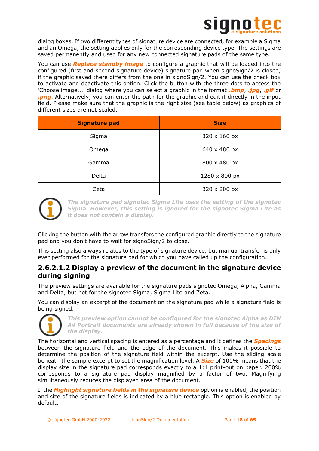

dialog boxes. If two different types of signature device are connected, for example a Sigma and an Omega, the setting applies only for the corresponding device type. The settings are saved permanently and used for any new connected signature pads of the same type.

You can use *Replace standby image* to configure a graphic that will be loaded into the configured (first and second signature device) signature pad when signoSign/2 is closed, if the graphic saved there differs from the one in signoSign/2. You can use the check box to activate and deactivate this option. Click the button with the three dots to access the 'Choose image...' dialog where you can select a graphic in the format *.bmp*, *.jpg*, *.gif* or *.png*. Alternatively, you can enter the path for the graphic and edit it directly in the input field. Please make sure that the graphic is the right size (see table below) as graphics of different sizes are not scaled.

| <b>Signature pad</b> | <b>Size</b>   |
|----------------------|---------------|
| Sigma                | 320 x 160 px  |
| Omega                | 640 x 480 px  |
| Gamma                | 800 x 480 px  |
| Delta                | 1280 x 800 px |
| Zeta                 | 320 x 200 px  |



*The signature pad signotec Sigma Lite uses the setting of the signotec Sigma. However, this setting is ignored for the signotec Sigma Lite as it does not contain a display.*

Clicking the button with the arrow transfers the configured graphic directly to the signature pad and you don't have to wait for signoSign/2 to close.

This setting also always relates to the type of signature device, but manual transfer is only ever performed for the signature pad for which you have called up the configuration.

# <span id="page-17-0"></span>**2.6.2.1.2 Display a preview of the document in the signature device during signing**

The preview settings are available for the signature pads signotec Omega, Alpha, Gamma and Delta, but not for the signotec Sigma, Sigma Lite and Zeta.

You can display an excerpt of the document on the signature pad while a signature field is being signed.



*This preview option cannot be configured for the signotec Alpha as DIN A4 Portrait documents are already shown in full because of the size of the display.*

The horizontal and vertical spacing is entered as a percentage and it defines the *Spacings* between the signature field and the edge of the document. This makes it possible to determine the position of the signature field within the excerpt. Use the sliding scale beneath the sample excerpt to set the magnification level. A *Size* of 100% means that the display size in the signature pad corresponds exactly to a 1:1 print-out on paper. 200% corresponds to a signature pad display magnified by a factor of two. Magnifying simultaneously reduces the displayed area of the document.

If the *Highlight signature fields in the signature device* option is enabled, the position and size of the signature fields is indicated by a blue rectangle. This option is enabled by default.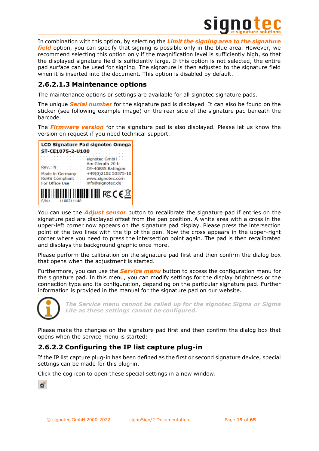

In combination with this option, by selecting the *Limit the signing area to the signature field* option, you can specify that signing is possible only in the blue area. However, we recommend selecting this option only if the magnification level is sufficiently high, so that the displayed signature field is sufficiently large. If this option is not selected, the entire pad surface can be used for signing. The signature is then adjusted to the signature field when it is inserted into the document. This option is disabled by default.

# <span id="page-18-0"></span>**2.6.2.1.3 Maintenance options**

The maintenance options or settings are available for all signotec signature pads.

The unique *Serial number* for the signature pad is displayed. It can also be found on the sticker (see following example image) on the rear side of the signature pad beneath the barcode.

The *Firmware version* for the signature pad is also displayed. Please let us know the version on request if you need technical support.



You can use the *Adjust sensor* button to recalibrate the signature pad if entries on the signature pad are displayed offset from the pen position. A white area with a cross in the upper-left corner now appears on the signature pad display. Please press the intersection point of the two lines with the tip of the pen. Now the cross appears in the upper-right corner where you need to press the intersection point again. The pad is then recalibrated and displays the background graphic once more.

Please perform the calibration on the signature pad first and then confirm the dialog box that opens when the adjustment is started.

Furthermore, you can use the *Service menu* button to access the configuration menu for the signature pad. In this menu, you can modify settings for the display brightness or the connection type and its configuration, depending on the particular signature pad. Further information is provided in the manual for the signature pad on our website.



*The Service menu cannot be called up for the signotec Sigma or Sigma Lite as these settings cannot be configured.*

Please make the changes on the signature pad first and then confirm the dialog box that opens when the service menu is started:

# <span id="page-18-1"></span>**2.6.2.2 Configuring the IP list capture plug-in**

If the IP list capture plug-in has been defined as the first or second signature device, special settings can be made for this plug-in.

Click the cog icon to open these special settings in a new window.

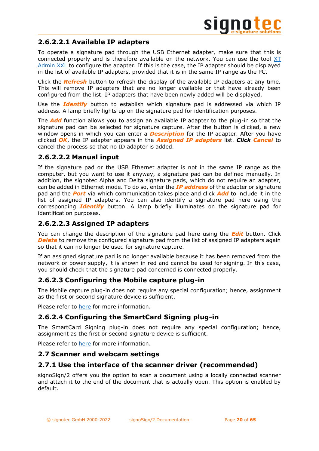

# <span id="page-19-0"></span>**2.6.2.2.1 Available IP adapters**

To operate a signature pad through the USB Ethernet adapter, make sure that this is connected properly and is therefore available on the network. You can use the tool [XT](https://en.signotec.com/xtadminxxl-en)  [Admin XXL](https://en.signotec.com/xtadminxxl-en) to configure the adapter. If this is the case, the IP adapter should be displayed in the list of available IP adapters, provided that it is in the same IP range as the PC.

Click the *Refresh* button to refresh the display of the available IP adapters at any time. This will remove IP adapters that are no longer available or that have already been configured from the list. IP adapters that have been newly added will be displayed.

Use the *Identify* button to establish which signature pad is addressed via which IP address. A lamp briefly lights up on the signature pad for identification purposes.

The *Add* function allows you to assign an available IP adapter to the plug-in so that the signature pad can be selected for signature capture. After the button is clicked, a new window opens in which you can enter a *Description* for the IP adapter. After you have clicked *OK*, the IP adapter appears in the *Assigned IP adapters* list. *Click Cancel* to cancel the process so that no ID adapter is added.

# <span id="page-19-1"></span>**2.6.2.2.2 Manual input**

If the signature pad or the USB Ethernet adapter is not in the same IP range as the computer, but you want to use it anyway, a signature pad can be defined manually. In addition, the signotec Alpha and Delta signature pads, which do not require an adapter, can be added in Ethernet mode. To do so, enter the *IP address* of the adapter or signature pad and the *Port* via which communication takes place and click *Add* to include it in the list of assigned IP adapters. You can also identify a signature pad here using the corresponding *Identify* button. A lamp briefly illuminates on the signature pad for identification purposes.

# <span id="page-19-2"></span>**2.6.2.2.3 Assigned IP adapters**

You can change the description of the signature pad here using the *Edit* button. Click **Delete** to remove the configured signature pad from the list of assigned IP adapters again so that it can no longer be used for signature capture.

If an assigned signature pad is no longer available because it has been removed from the network or power supply, it is shown in red and cannot be used for signing. In this case, you should check that the signature pad concerned is connected properly.

# <span id="page-19-3"></span>**2.6.2.3 Configuring the Mobile capture plug-in**

The Mobile capture plug-in does not require any special configuration; hence, assignment as the first or second signature device is sufficient.

Please refer to [here](#page-63-1) for more information.

# <span id="page-19-4"></span>**2.6.2.4 Configuring the SmartCard Signing plug-in**

The SmartCard Signing plug-in does not require any special configuration; hence, assignment as the first or second signature device is sufficient.

Please refer to [here](#page-64-3) for more information.

# <span id="page-19-5"></span>**2.7 Scanner and webcam settings**

# <span id="page-19-6"></span>**2.7.1 Use the interface of the scanner driver (recommended)**

signoSign/2 offers you the option to scan a document using a locally connected scanner and attach it to the end of the document that is actually open. This option is enabled by default.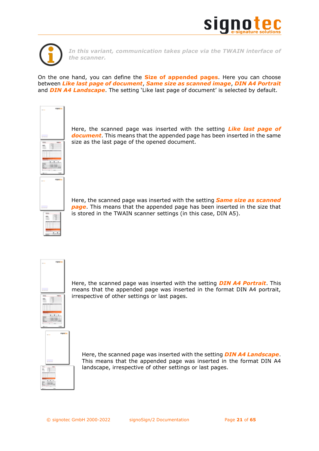



*In this variant, communication takes place via the TWAIN interface of the scanner.*

On the one hand, you can define the **Size of appended pages**. Here you can choose between *Like last page of document*, *Same size as scanned image*, *DIN A4 Portrait* and *DIN A4 Landscape*. The setting 'Like last page of document' is selected by default.



Here, the scanned page was inserted with the setting *Like last page of document*. This means that the appended page has been inserted in the same size as the last page of the opened document.

Here, the scanned page was inserted with the setting *Same size as scanned page*. This means that the appended page has been inserted in the size that is stored in the TWAIN scanner settings (in this case, DIN A5).



Here, the scanned page was inserted with the setting *DIN A4 Portrait*. This means that the appended page was inserted in the format DIN A4 portrait, irrespective of other settings or last pages.



Here, the scanned page was inserted with the setting *DIN A4 Landscape*. This means that the appended page was inserted in the format DIN A4 landscape, irrespective of other settings or last pages.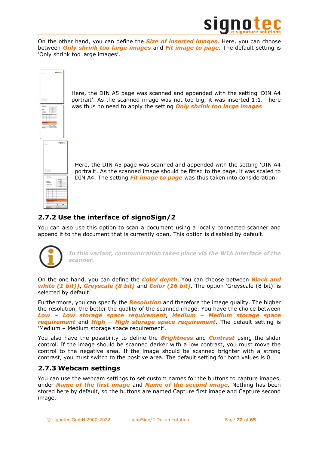

On the other hand, you can define the *Size of inserted images*. Here, you can choose between *Only shrink too large images* and *Fit image to page*. The default setting is 'Only shrink too large images'.



Here, the DIN A5 page was scanned and appended with the setting 'DIN A4 portrait'. As the scanned image was not too big, it was inserted 1:1. There was thus no need to apply the setting *Only shrink too large images*.

Here, the DIN A5 page was scanned and appended with the setting 'DIN A4 portrait'. As the scanned image should be fitted to the page, it was scaled to DIN A4. The setting *Fit image to page* was thus taken into consideration.

# <span id="page-21-0"></span>**2.7.2 Use the interface of signoSign/2**

You can also use this option to scan a document using a locally connected scanner and append it to the document that is currently open. This option is disabled by default.



*In this variant, communication takes place via the WIA interface of the scanner.*

On the one hand, you can define the *Color depth*. You can choose between *Black and white (1 bit))*, *Greyscale (8 bit)* and *Color (16 bit)*. The option 'Greyscale (8 bit)' is selected by default.

Furthermore, you can specify the *Resolution* and therefore the image quality. The higher the resolution, the better the quality of the scanned image. You have the choice between *Low – Low storage space requirement*, *Medium – Medium storage space requirement* and *High – High storage space requirement*. The default setting is 'Medium – Medium storage space requirement'.

You also have the possibility to define the *Brightness* and *Contrast* using the slider control. If the image should be scanned darker with a low contrast, you must move the control to the negative area. If the image should be scanned brighter with a strong contrast, you must switch to the positive area. The default setting for both values is 0.

# <span id="page-21-1"></span>**2.7.3 Webcam settings**

You can use the webcam settings to set custom names for the buttons to capture images, under *Name of the first image* and *Name of the second image*. Nothing has been stored here by default, so the buttons are named Capture first image and Capture second image.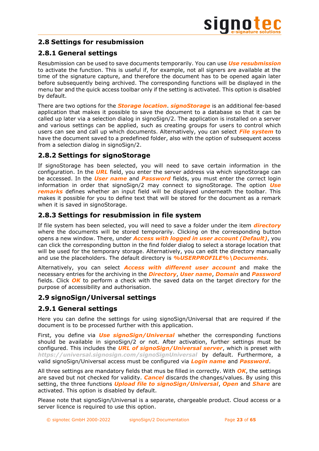# <span id="page-22-0"></span>**2.8 Settings for resubmission**

# <span id="page-22-1"></span>**2.8.1 General settings**

Resubmission can be used to save documents temporarily. You can use *Use resubmission* to activate the function. This is useful if, for example, not all signers are available at the time of the signature capture, and therefore the document has to be opened again later before subsequently being archived. The corresponding functions will be displayed in the menu bar and the quick access toolbar only if the setting is activated. This option is disabled by default.

There are two options for the *Storage location*. *signoStorage* is an additional fee-based application that makes it possible to save the document to a database so that it can be called up later via a selection dialog in signoSign/2. The application is installed on a server and various settings can be applied, such as creating groups for users to control which users can see and call up which documents. Alternatively, you can select *File system* to have the document saved to a predefined folder, also with the option of subsequent access from a selection dialog in signoSign/2.

# <span id="page-22-2"></span>**2.8.2 Settings for signoStorage**

If signoStorage has been selected, you will need to save certain information in the configuration. In the *URL* field, you enter the server address via which signoStorage can be accessed. In the *User name* and *Password* fields, you must enter the correct login information in order that signoSign/2 may connect to signoStorage. The option *Use remarks* defines whether an input field will be displayed underneath the toolbar. This makes it possible for you to define text that will be stored for the document as a remark when it is saved in signoStorage.

# <span id="page-22-3"></span>**2.8.3 Settings for resubmission in file system**

If file system has been selected, you will need to save a folder under the item *directory* where the documents will be stored temporarily. Clicking on the corresponding button opens a new window. There, under *Access with logged in user account (Default)*, you can click the corresponding button in the find folder dialog to select a storage location that will be used for the temporary storage. Alternatively, you can edit the directory manually and use the placeholders. The default directory is *%USERPROFILE%\Documents*.

Alternatively, you can select *Access with different user account* and make the necessary entries for the archiving in the *Directory*, *User name*, *Domain* and *Password* fields. Click *OK* to perform a check with the saved data on the target directory for the purpose of accessibility and authorisation.

# <span id="page-22-4"></span>**2.9 signoSign/Universal settings**

# <span id="page-22-5"></span>**2.9.1 General settings**

Here you can define the settings for using signoSign/Universal that are required if the document is to be processed further with this application.

First, you define via *Use signoSign/Universal* whether the corresponding functions should be available in signoSign/2 or not. After activation, further settings must be configured. This includes the *URL of signoSign/Universal server*, which is preset with *<https://universal.signosign.com/signoSignUniversal>* by default. Furthermore, a valid signoSign/Universal access must be configured via *Login name* and *Password*.

All three settings are mandatory fields that mus be filled in correctly. With *OK*, the settings are saved but not checked for validity. *Cancel* discards the changes/values. By using this setting, the three functions *Upload file to signoSign/Universal*, *Open* and *Share* are activated. This option is disabled by default.

Please note that signoSign/Universal is a separate, chargeable product. Cloud access or a server licence is required to use this option.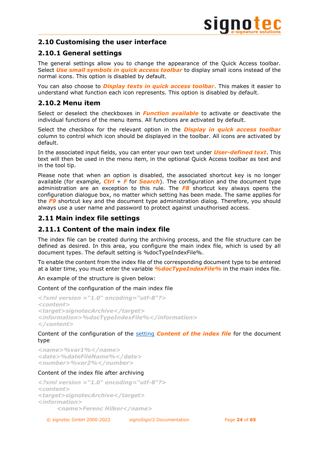# <span id="page-23-0"></span>**2.10 Customising the user interface**

# <span id="page-23-1"></span>**2.10.1 General settings**

The general settings allow you to change the appearance of the Quick Access toolbar. Select *Use small symbols in quick access toolbar* to display small icons instead of the normal icons. This option is disabled by default.

You can also choose to *Display texts in quick access toolbar*. This makes it easier to understand what function each icon represents. This option is disabled by default.

# <span id="page-23-2"></span>**2.10.2 Menu item**

Select or deselect the checkboxes in *Function available* to activate or deactivate the individual functions of the menu items. All functions are activated by default.

Select the checkbox for the relevant option in the *Display in quick access toolbar* column to control which icon should be displayed in the toolbar. All icons are activated by default.

In the associated input fields, you can enter your own text under *User-defined text*. This text will then be used in the menu item, in the optional Quick Access toolbar as text and in the tool tip.

Please note that when an option is disabled, the associated shortcut key is no longer available (for example, *Ctrl* + *F* for *Search*). The configuration and the document type administration are an exception to this rule. The *F8* shortcut key always opens the configuration dialogue box, no matter which setting has been made. The same applies for the *F9* shortcut key and the document type administration dialog. Therefore, you should always use a user name and password to protect against unauthorised access.

# <span id="page-23-3"></span>**2.11 Main index file settings**

# <span id="page-23-4"></span>**2.11.1 Content of the main index file**

The index file can be created during the archiving process, and the file structure can be defined as desired. In this area, you configure the main index file, which is used by all document types. The default setting is %docTypeIndexFile%.

To enable the content from the index file of the corresponding document type to be entered at a later time, you must enter the variable *%docTypeIndexFile%* in the main index file.

An example of the structure is given below:

Content of the configuration of the main index file

```
<?xml version ="1.0" encoding="utf-8"?>
<content>
<target>signotecArchive</target>
<information>%docTypeIndexFile%</information>
</content>
```
# Content of the configuration of the [setting](#page-48-1) *Content of the index file* for the document type

```
<name>%var1%</name>
<date>%dateFileName%</date>
<number>%var2%</number>
```
# Content of the index file after archiving

```
<?xml version ="1.0" encoding="utf-8"?>
<content>
<target>signotecArchive</target>
<information>
     <name>Ferenc Hilker</name>
```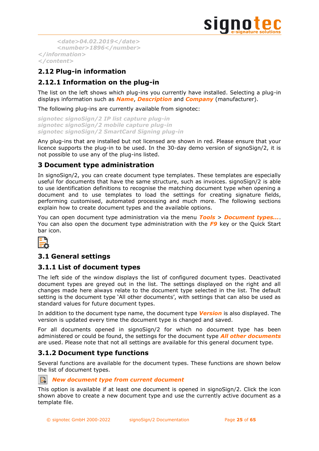

```
<date>04.02.2019</date>
     <number>1896</number>
</information>
</content>
```
# <span id="page-24-0"></span>**2.12 Plug-in information**

# <span id="page-24-1"></span>**2.12.1 Information on the plug-in**

The list on the left shows which plug-ins you currently have installed. Selecting a plug-in displays information such as *Name*, *Description* and *Company* (manufacturer).

The following plug-ins are currently available from signotec:

```
signotec signoSign/2 IP list capture plug-in
signotec signoSign/2 mobile capture plug-in
signotec signoSign/2 SmartCard Signing plug-in
```
Any plug-ins that are installed but not licensed are shown in red. Please ensure that your licence supports the plug-in to be used. In the 30-day demo version of signoSign/2, it is not possible to use any of the plug-ins listed.

# <span id="page-24-2"></span>**3 Document type administration**

In signoSign/2, you can create document type templates. These templates are especially useful for documents that have the same structure, such as invoices. signoSign/2 is able to use identification definitions to recognise the matching document type when opening a document and to use templates to load the settings for creating signature fields, performing customised, automated processing and much more. The following sections explain how to create document types and the available options.

You can open document type administration via the menu *Tools* > *Document types...*. You can also open the document type administration with the *F9* key or the Quick Start bar icon.



# <span id="page-24-3"></span>**3.1 General settings**

# <span id="page-24-4"></span>**3.1.1 List of document types**

The left side of the window displays the list of configured document types. Deactivated document types are greyed out in the list. The settings displayed on the right and all changes made here always relate to the document type selected in the list. The default setting is the document type 'All other documents', with settings that can also be used as standard values for future document types.

In addition to the document type name, the document type *Version* is also displayed. The version is updated every time the document type is changed and saved.

For all documents opened in signoSign/2 for which no document type has been administered or could be found, the settings for the document type *All other documents* are used. Please note that not all settings are available for this general document type.

# <span id="page-24-5"></span>**3.1.2 Document type functions**

Several functions are available for the document types. These functions are shown below the list of document types.

# *New document type from current document*

This option is available if at least one document is opened in signoSign/2. Click the icon shown above to create a new document type and use the currently active document as a template file.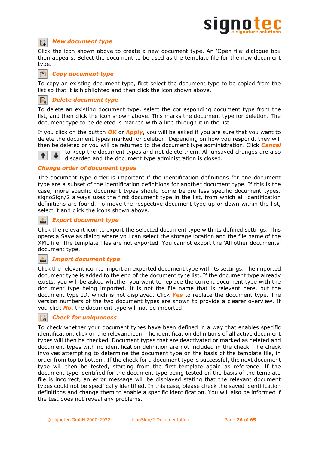### *New document type*  $\mathbb{E}$

Click the icon shown above to create a new document type. An 'Open file' dialogue box then appears. Select the document to be used as the template file for the new document type.

### n *Copy document type*

To copy an existing document type, first select the document type to be copied from the list so that it is highlighted and then click the icon shown above.

### *Delete document type* E

↑

To delete an existing document type, select the corresponding document type from the list, and then click the icon shown above. This marks the document type for deletion. The document type to be deleted is marked with a line through it in the list.

If you click on the button *OK* or *Apply*, you will be asked if you are sure that you want to delete the document types marked for deletion. Depending on how you respond, they will then be deleted or you will be returned to the document type administration. Click *Cancel*

to keep the document types and not delete them. All unsaved changes are also discarded and the document type administration is closed.

*Change order of document types*

The document type order is important if the identification definitions for one document type are a subset of the identification definitions for another document type. If this is the case, more specific document types should come before less specific document types. signoSign/2 always uses the first document type in the list, from which all identification definitions are found. To move the respective document type up or down within the list, select it and click the icons shown above.

### 凸 *Export document type*

Click the relevant icon to export the selected document type with its defined settings. This opens a Save as dialog where you can select the storage location and the file name of the XML file. The template files are not exported. You cannot export the 'All other documents' document type.

### 凸 *Import document type*

Click the relevant icon to import an exported document type with its settings. The imported document type is added to the end of the document type list. If the document type already exists, you will be asked whether you want to replace the current document type with the document type being imported. It is not the file name that is relevant here, but the document type ID, which is not displayed. Click *Yes* to replace the document type. The version numbers of the two document types are shown to provide a clearer overview. If you click *No*, the document type will not be imported.

### *Check for uniqueness*  $\Box$

To check whether your document types have been defined in a way that enables specific identification, click on the relevant icon. The identification definitions of all active document types will then be checked. Document types that are deactivated or marked as deleted and document types with no identification definition are not included in the check. The check involves attempting to determine the document type on the basis of the template file, in order from top to bottom. If the check for a document type is successful, the next document type will then be tested, starting from the first template again as reference. If the document type identified for the document type being tested on the basis of the template file is incorrect, an error message will be displayed stating that the relevant document types could not be specifically identified. In this case, please check the saved identification definitions and change them to enable a specific identification. You will also be informed if the test does not reveal any problems.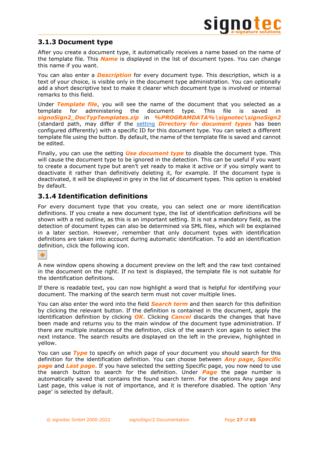# <span id="page-26-0"></span>**3.1.3 Document type**

After you create a document type, it automatically receives a name based on the name of the template file. This *Name* is displayed in the list of document types. You can change this name if you want.

You can also enter a *Description* for every document type. This description, which is a text of your choice, is visible only in the document type administration. You can optionally add a short descriptive text to make it clearer which document type is involved or internal remarks to this field.

Under *Template file*, you will see the name of the document that you selected as a template for administering the document type. This file is saved in *signoSign2\_DocTypTemplates.zip* in *%PROGRAMDATA%\signotec\signoSign2* (standard path, may differ if the [setting](#page-7-2) *Directory for document types* has been configured differently) with a specific ID for this document type. You can select a different template file using the button. By default, the name of the template file is saved and cannot be edited.

Finally, you can use the setting *Use document type* to disable the document type. This will cause the document type to be ignored in the detection. This can be useful if you want to create a document type but aren't yet ready to make it active or if you simply want to deactivate it rather than definitively deleting it, for example. If the document type is deactivated, it will be displayed in grey in the list of document types. This option is enabled by default.

# <span id="page-26-1"></span>**3.1.4 Identification definitions**

For every document type that you create, you can select one or more identification definitions. If you create a new document type, the list of identification definitions will be shown with a red outline, as this is an important setting. It is not a mandatory field, as the detection of document types can also be determined via SML files, which will be explained in a later section. However, remember that only document types with identification definitions are taken into account during automatic identification. To add an identification definition, click the following icon.

# ٠

A new window opens showing a document preview on the left and the raw text contained in the document on the right. If no text is displayed, the template file is not suitable for the identification definitions.

If there is readable text, you can now highlight a word that is helpful for identifying your document. The marking of the search term must not cover multiple lines.

You can also enter the word into the field *Search term* and then search for this definition by clicking the relevant button. If the definition is contained in the document, apply the identification definition by clicking *OK*. Clicking *Cancel* discards the changes that have been made and returns you to the main window of the document type administration. If there are multiple instances of the definition, click of the search icon again to select the next instance. The search results are displayed on the left in the preview, highlighted in yellow.

You can use *Type* to specify on which page of your document you should search for this definition for the identification definition. You can choose between *Any page*, *Specific*  **page** and **Last page**. If you have selected the setting Specific page, you now need to use the search button to search for the definition. Under *Page* the page number is automatically saved that contains the found search term. For the options Any page and Last page, this value is not of importance, and it is therefore disabled. The option 'Any page' is selected by default.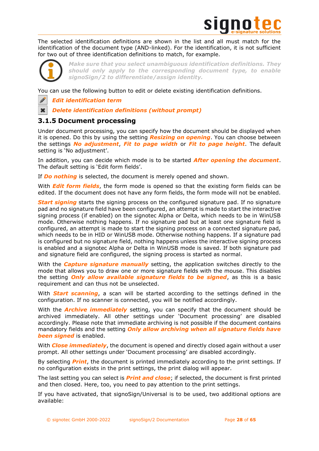

The selected identification definitions are shown in the list and all must match for the identification of the document type (AND-linked). For the identification, it is not sufficient for two out of three identification definitions to match, for example.

 $\mathbf x$ 

*Make sure that you select unambiguous identification definitions. They should only apply to the corresponding document type, to enable signoSign/2 to differentiate/assign identity.*

You can use the following button to edit or delete existing identification definitions.

*Edit identification term*

*Delete identification definitions (without prompt)*

# <span id="page-27-0"></span>**3.1.5 Document processing**

Under document processing, you can specify how the document should be displayed when it is opened. Do this by using the setting *Resizing on opening*. You can choose between the settings *No adjustment*, *Fit to page width* or *Fit to page height*. The default setting is 'No adjustment'.

In addition, you can decide which mode is to be started *After opening the document*. The default setting is 'Edit form fields'.

If *Do nothing* is selected, the document is merely opened and shown.

With *Edit form fields*, the form mode is opened so that the existing form fields can be edited. If the document does not have any form fields, the form mode will not be enabled.

**Start signing** starts the signing process on the configured signature pad. If no signature pad and no signature field have been configured, an attempt is made to start the interactive signing process (if enabled) on the signotec Alpha or Delta, which needs to be in WinUSB mode. Otherwise nothing happens. If no signature pad but at least one signature field is configured, an attempt is made to start the signing process on a connected signature pad, which needs to be in HID or WinUSB mode. Otherwise nothing happens. If a signature pad is configured but no signature field, nothing happens unless the interactive signing process is enabled and a signotec Alpha or Delta in WinUSB mode is saved. If both signature pad and signature field are configured, the signing process is started as normal.

With the *Capture signature manually* setting, the application switches directly to the mode that allows you to draw one or more signature fields with the mouse. This disables the setting *Only allow available signature fields to be signed*, as this is a basic requirement and can thus not be unselected.

With *Start scanning*, a scan will be started according to the settings defined in the configuration. If no scanner is connected, you will be notified accordingly.

With the *Archive immediately* setting, you can specify that the document should be archived immediately. All other settings under 'Document processing' are disabled accordingly. Please note that immediate archiving is not possible if the document contains mandatory fields and the setting *Only allow archiving when all signature fields have been signed* is enabled.

With *Close immediately*, the document is opened and directly closed again without a user prompt. All other settings under 'Document processing' are disabled accordingly.

By selecting *Print*, the document is printed immediately according to the print settings. If no configuration exists in the print settings, the print dialog will appear.

The last setting you can select is *Print and close*; if selected, the document is first printed and then closed. Here, too, you need to pay attention to the print settings.

If you have activated, that signoSign/Universal is to be used, two additional options are available: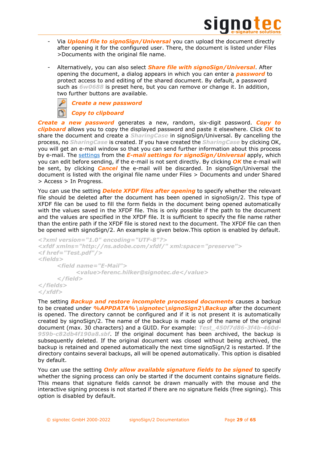

- Via *Upload file to signoSign/Universal* you can upload the document directly after opening it for the configured user. There, the document is listed under Files >Documents with the original file name.
- Alternatively, you can also select *Share file with signoSign/Universal*. After opening the document, a dialog appears in which you can enter a *password* to protect access to and editing of the shared document. By default, a password such as *6w0688* is preset here, but you can remove or change it. In addition, two further buttons are available.



*Create a new password*

# *Copy to clipboard*

*Create a new password* generates a new, random, six-digit password. *Copy to clipboard* allows you to copy the displayed password and paste it elsewhere. Click *OK* to share the document and create a *SharingCase* in signoSign/Universal. By cancelling the process, no *SharingCase* is created. If you have created the *SharingCase* by clicking OK, you will get an e-mail window so that you can send further information about this process by e-mail. The [settings](#page-45-2) from the *E-mail settings for signoSign/Universal* apply, which you can edit before sending, if the e-mail is not sent directly. By clicking *OK* the e-mail will be sent, by clicking *Cancel* the e-mail will be discarded. In signoSign/Universal the document is listed with the original file name under Files > Documents and under Shared > Access > In Progress.

You can use the setting *Delete XFDF files after opening* to specify whether the relevant file should be deleted after the document has been opened in signoSign/2. This type of XFDF file can be used to fill the form fields in the document being opened automatically with the values saved in the XFDF file. This is only possible if the path to the document and the values are specified in the XFDF file. It is sufficient to specify the file name rather than the entire path if the XFDF file is stored next to the document. The XFDF file can then be opened with signoSign/2. An example is given below.This option is enabled by default.

```
<?xml version="1.0" encoding="UTF-8"?>
<xfdf xmlns="http://ns.adobe.com/xfdf/" xml:space="preserve">
<f href="Test.pdf"/>
<fields>
     <field name="E-Mail">
           <value>ferenc.hilker@signotec.de</value>
     </field>
</fields>
</xfdf>
```
The setting *Backup and restore incomplete processed documents* causes a backup to be created under *%APPDATA%\signotec\signoSign2\Backup* after the document is opened. The directory cannot be configured and if it is not present it is automatically created by signoSign/2. The name of the backup is made up of the name of the original document (max. 30 characters) and a GUID. For example: *Test\_450f7d86-3f4b-460d-959b-c82db4f190a8.sbf*. If the original document has been archived, the backup is subsequently deleted. If the original document was closed without being archived, the backup is retained and opened automatically the next time signoSign/2 is restarted. If the directory contains several backups, all will be opened automatically. This option is disabled by default.

You can use the setting *Only allow available signature fields to be signed* to specify whether the signing process can only be started if the document contains signature fields. This means that signature fields cannot be drawn manually with the mouse and the interactive signing process is not started if there are no signature fields (free signing). This option is disabled by default.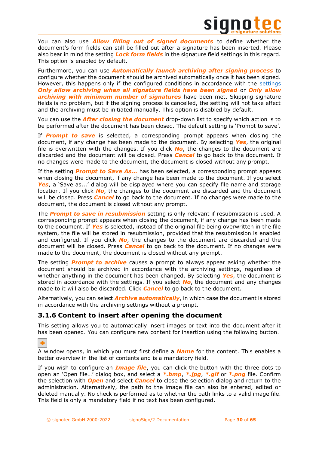

You can also use *Allow filling out of signed documents* to define whether the document's form fields can still be filled out after a signature has been inserted. Please also bear in mind the setting *Lock form fields* in the signature field settings in this regard. This option is enabled by default.

Furthermore, you can use *Automatically launch archiving after signing process* to configure whether the document should be archived automatically once it has been signed. However, this happens only if the configured conditions in accordance with the [settings](#page-47-0) *Only allow archiving when all signature fields have been signed* or *Only allow archiving with minimum number of signatures* have been met. Skipping signature fields is no problem, but if the signing process is cancelled, the setting will not take effect and the archiving must be initiated manually. This option is disabled by default.

You can use the *After closing the document* drop-down list to specify which action is to be performed after the document has been closed. The default setting is 'Prompt to save'.

If *Prompt to save* is selected, a corresponding prompt appears when closing the document, if any change has been made to the document. By selecting *Yes*, the original file is overwritten with the changes. If you click *No*, the changes to the document are discarded and the document will be closed. Press *Cancel* to go back to the document. If no changes were made to the document, the document is closed without any prompt.

If the setting *Prompt to Save As...* has been selected, a corresponding prompt appears when closing the document, if any change has been made to the document. If you select Yes, a 'Save as...' dialog will be displayed where you can specify file name and storage location. If you click *No*, the changes to the document are discarded and the document will be closed. Press *Cancel* to go back to the document. If no changes were made to the document, the document is closed without any prompt.

The *Prompt to save in resubmission* setting is only relevant if resubmission is used. A corresponding prompt appears when closing the document, if any change has been made to the document. If *Yes* is selected, instead of the original file being overwritten in the file system, the file will be stored in resubmission, provided that the resubmission is enabled and configured. If you click *No*, the changes to the document are discarded and the document will be closed. Press *Cancel* to go back to the document. If no changes were made to the document, the document is closed without any prompt.

The setting *Prompt to archive* causes a prompt to always appear asking whether the document should be archived in accordance with the archiving settings, regardless of whether anything in the document has been changed. By selecting *Yes*, the document is stored in accordance with the settings. If you select *No*, the document and any changes made to it will also be discarded. Click *Cancel* to go back to the document.

Alternatively, you can select *Archive automatically*, in which case the document is stored in accordance with the archiving settings without a prompt.

# <span id="page-29-0"></span>**3.1.6 Content to insert after opening the document**

This setting allows you to automatically insert images or text into the document after it has been opened. You can configure new content for insertion using the following button.

٠

A window opens, in which you must first define a *Name* for the content. This enables a better overview in the list of contents and is a mandatory field.

If you wish to configure an *Image file*, you can click the button with the three dots to open an 'Open file…' dialog box, and select a *\*.bmp*, *\*.jpg*, *\*.gif* or *\*.png* file. Confirm the selection with *Open* and select *Cancel* to close the selection dialog and return to the administration. Alternatively, the path to the image file can also be entered, edited or deleted manually. No check is performed as to whether the path links to a valid image file. This field is only a mandatory field if no text has been configured.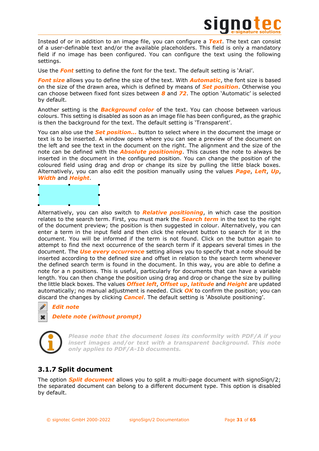

Instead of or in addition to an image file, you can configure a *Text*. The text can consist of a user-definable text and/or the available placeholders. This field is only a mandatory field if no image has been configured. You can configure the text using the following settings.

Use the *Font* setting to define the font for the text. The default setting is 'Arial'.

*Font size* allows you to define the size of the text. With *Automatic*, the font size is based on the size of the drawn area, which is defined by means of *Set position*. Otherwise you can choose between fixed font sizes between *8* and *72*. The option 'Automatic' is selected by default.

Another setting is the *Background color* of the text. You can choose between various colours. This setting is disabled as soon as an image file has been configured, as the graphic is then the background for the text. The default setting is 'Transparent'.

You can also use the *Set position...* button to select where in the document the image or text is to be inserted. A window opens where you can see a preview of the document on the left and see the text in the document on the right. The alignment and the size of the note can be defined with the *Absolute positioning*. This causes the note to always be inserted in the document in the configured position. You can change the position of the coloured field using drag and drop or change its size by pulling the little black boxes. Alternatively, you can also edit the position manually using the values *Page*, *Left*, *Up*, *Width* and *Height*.



Alternatively, you can also switch to *Relative positioning*, in which case the position relates to the search term. First, you must mark the *Search term* in the text to the right of the document preview; the position is then suggested in colour. Alternatively, you can enter a term in the input field and then click the relevant button to search for it in the document. You will be informed if the term is not found. Click on the button again to attempt to find the next occurrence of the search term if it appears several times in the document. The *Use every occurrence* setting allows you to specify that a note should be inserted according to the defined size and offset in relation to the search term whenever the defined search term is found in the document. In this way, you are able to define a note for a n positions. This is useful, particularly for documents that can have a variable length. You can then change the position using drag and drop or change the size by pulling the little black boxes. The values *Offset left*, *Offset up*, *latitude* and *Height* are updated automatically; no manual adjustment is needed. Click *OK* to confirm the position; you can discard the changes by clicking *Cancel*. The default setting is 'Absolute positioning'.

# *Edit note*

# *Delete note (without prompt)*



Í

*Please note that the document loses its conformity with PDF/A if you insert images and/or text with a transparent background. This note only applies to PDF/A-1b documents.*

# <span id="page-30-0"></span>**3.1.7 Split document**

The option *Split document* allows you to split a multi-page document with signoSign/2; the separated document can belong to a different document type. This option is disabled by default.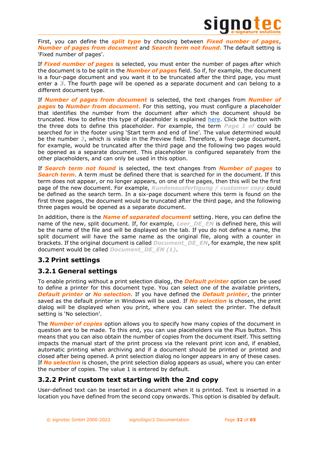

First, you can define the *split type* by choosing between *Fixed number of pages*, *Number of pages from document* and *Search term not found*. The default setting is 'Fixed number of pages'.

If *Fixed number of pages* is selected, you must enter the number of pages after which the document is to be split in the *Number of pages* field. So if, for example, the document is a four-page document and you want it to be truncated after the third page, you must enter a *3*. The fourth page will be opened as a separate document and can belong to a different document type.

If *Number of pages from document* is selected, the text changes from *Number of pages* to *Number from document*. For this setting, you must configure a placeholder that identifies the number from the document after which the document should be truncated. How to define this type of placeholder is explained [here.](#page-40-2) Click the button with the three dots to define this placeholder. For example, the term *Page 1 of* could be searched for in the footer using 'Start term and end of line'. The value determined would be the number *3*, which is visible in the Preview field. Therefore, a five-page document, for example, would be truncated after the third page and the following two pages would be opened as a separate document. This placeholder is configured separately from the other placeholders, and can only be used in this option.

If *Search term not found* is selected, the text changes from *Number of pages* to *Search term*. A term must be defined there that is searched for in the document. If this term does not appear, or no longer appears, on one of the pages, then this will be the first page of the new document. For example, *Kundenausfertigung / customer copy* could be defined as the search term. In a six-page document where this term is found on the first three pages, the document would be truncated after the third page, and the following three pages would be opened as a separate document.

In addition, there is the *Name of separated document* setting. Here, you can define the name of the new, split document. If, for example, *Leer\_DE\_EN* is defined here, this will be the name of the file and will be displayed on the tab. If you do not define a name, the split document will have the same name as the original file, along with a counter in brackets. If the original document is called *Document\_DE\_EN*, for example, the new split document would be called *Document\_DE\_EN (1)*.

# <span id="page-31-0"></span>**3.2 Print settings**

# <span id="page-31-1"></span>**3.2.1 General settings**

To enable printing without a print selection dialog, the *Default printer* option can be used to define a printer for this document type. You can select one of the available printers, *Default printer* or *No selection*. If you have defined the *Default printer*, the printer saved as the default printer in Windows will be used. If *No selection* is chosen, the print dialog will be displayed when you print, where you can select the printer. The default setting is 'No selection'.

The *Number of copies* option allows you to specify how many copies of the document in question are to be made. To this end, you can use placeholders via the Plus button. This means that you can also obtain the number of copies from the document itself. This setting impacts the manual start of the print process via the relevant print icon and, if enabled, automatic printing when archiving and if a document should be printed or printed and closed after being opened. A print selection dialog no longer appears in any of these cases. If *No selection* is chosen, the print selection dialog appears as usual, where you can enter the number of copies. The value 1 is entered by default.

# <span id="page-31-2"></span>**3.2.2 Print custom text starting with the 2nd copy**

User-defined text can be inserted in a document when it is printed. Text is inserted in a location you have defined from the second copy onwards. This option is disabled by default.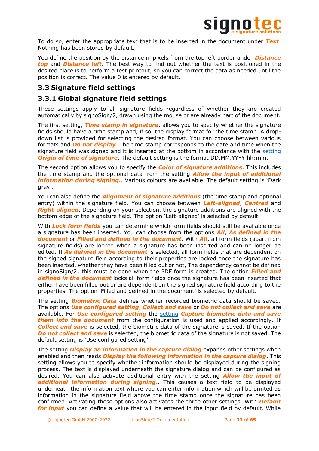

To do so, enter the appropriate text that is to be inserted in the document under *Text*. Nothing has been stored by default.

You define the position by the distance in pixels from the top left border under *Distance top* and *Distance left*. The best way to find out whether the text is positioned in the desired place is to perform a test printout, so you can correct the data as needed until the position is correct. The value 0 is entered by default.

# <span id="page-32-0"></span>**3.3 Signature field settings**

# <span id="page-32-1"></span>**3.3.1 Global signature field settings**

These settings apply to all signature fields regardless of whether they are created automatically by signoSign/2, drawn using the mouse or are already part of the document.

The first setting, *Time stamp in signature*, allows you to specify whether the signature fields should have a time stamp and, if so, the display format for the time stamp. A dropdown list is provided for selecting the desired format. You can choose between various formats and *Do not display*. The time stamp corresponds to the date and time when the signature field was signed and it is inserted at the bottom in accordance with the [setting](#page-10-0) *Origin of time of signature*. The default setting is the format DD.MM.YYYY hh:mm.

The second option allows you to specify the *Color of signature additions*. This includes the time stamp and the optional data from the setting *Allow the input of additional information during signing.*. Various colours are available. The default setting is 'Dark grey'.

You can also define the *Alignment of signature additions* (the time stamp and optional entry) within the signature field. You can choose between *Left-aligned*, *Centred* and *Right-aligned*. Depending on your selection, the signature additions are aligned with the bottom edge of the signature field. The option 'Left-aligned' is selected by default.

With *Lock form fields* you can determine which form fields should still be available once a signature has been inserted. You can choose from the options *All*, *As defined in the document* or *Filled and defined in the document*. With *All*, all form fields (apart from signature fields) are locked when a signature has been inserted and can no longer be edited. If *As defined in the document* is selected, all form fields that are dependent on the signed signature field according to their properties are locked once the signature has been inserted, whether they have been filled out or not, The dependency cannot be defined in signoSign/2; this must be done when the PDF form is created. The option *Filled and defined in the document* locks all form fields once the signature has been inserted that either have been filled out or are dependent on the signed signature field according to the properties. The option 'Filled and defined in the document' is selected by default.

The setting *Biometric Data* defines whether recorded biometric data should be saved. The options *Use configured setting*, *Collect and save* or *Do not collect and save* are available. For *Use configured setting* the [setting](#page-14-4) *Capture biometric data and save them into the document* from the configuration is used and applied accordingly. If *Collect and save* is selected, the biometric data of the signature is saved. If the option **Do not collect and save** is selected, the biometric data of the signature is not saved. The default setting is 'Use configured setting'.

The setting *Display an information in the capture dialog* expands other settings when enabled and then reads *Display the following information in the capture dialog*. This setting allows you to specify whether information should be displayed during the signing process. The text is displayed underneath the signature dialog and can be configured as desired. You can also activate additional entry with the setting *Allow the input of additional information during signing.*. This causes a text field to be displayed underneath the information text where you can enter information which will be printed as information in the signature field above the time stamp once the signature has been confirmed. Activating these options also activates the three other settings. With *Default for input* you can define a value that will be entered in the input field by default. While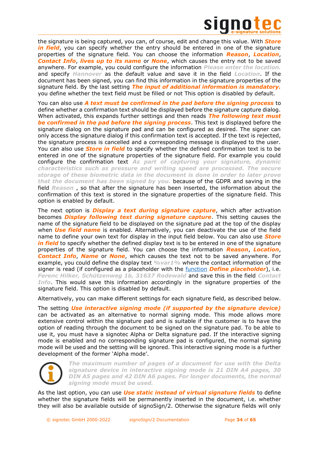

the signature is being captured, you can, of course, edit and change this value. With *Store in field*, you can specify whether the entry should be entered in one of the signature properties of the signature field. You can choose the information *Reason*, *Location*, *Contact Info*, *lives up to its name* or *None*, which causes the entry not to be saved anywhere. For example, you could configure the information *Please enter the location.* and specify *Hannover* as the default value and save it in the field *Location*. If the document has been signed, you can find this information in the signature properties of the signature field. By the last setting *The input of additional information is mandatory.* you define whether the text field must be filled or not This option is disabled by default.

You can also use *A text must be confirmed in the pad before the signing process* to define whether a confirmation text should be displayed before the signature capture dialog. When activated, this expands further settings and then reads *The following text must be confirmed in the pad before the signing process*. This text is displayed before the signature dialog on the signature pad and can be configured as desired. The signer can only access the signature dialog if this confirmation text is accepted. If the text is rejected, the signature process is cancelled and a corresponding message is displayed to the user. You can also use *Store in field* to specify whether the defined confirmation text is to be entered in one of the signature properties of the signature field. For example you could configure the confirmation text *As part of capturing your signature, dynamic characteristics such as pressure and writing speed are processed. The secure storage of these biometric data in the document is done in order to later prove that the document has been signed by you.* because of the GDPR and saving in the field *Reason* , so that after the signature has been inserted, the information about the confirmation of this text is stored in the signature properties of the signature field. This option is enabled by default.

The next option is *Display a text during signature capture*, which after activation becomes *Display following text during signature capture*. This setting causes the name of the signature field to be displayed on the signature pad at the top of the display when *Use field name* is enabled. Alternatively, you can deactivate the use of the field name to define your own text for display in the input field below. You can also use *Store in field* to specify whether the defined display text is to be entered in one of the signature properties of the signature field. You can choose the information *Reason*, *Location*, *Contact Info*, *Name* or *None*, which causes the text not to be saved anywhere. For example, you could define the display text *%var1%* where the contact information of the signer is read (if configured as a placeholder with the [function](#page-40-1) *Define placeholder*), i.e. *Ferenc Hilker, Schützenweg 1b, 31637 Rodewald* and save this in the field *Contact Info*. This would save this information accordingly in the signature properties of the signature field. This option is disabled by default.

Alternatively, you can make different settings for each signature field, as described below.

The setting *Use interactive signing mode (if supported by the signature device)* can be activated as an alternative to normal signing mode. This mode allows more extensive control within the signature pad and is suitable if the customer is to have the option of reading through the document to be signed on the signature pad. To be able to use it, you must have a signotec Alpha or Delta signature pad. If the interactive signing mode is enabled and no corresponding signature pad is configured, the normal signing mode will be used and the setting will be ignored. This interactive signing mode is a further development of the former 'Alpha mode'.



*The maximum number of pages of a document for use with the Delta signature device in interactive signing mode is 21 DIN A4 pages, 30 DIN A5 pages and 42 DIN A6 pages. For longer documents, the normal signing mode must be used.*

As the last option, you can use *Use static instead of virtual signature fields* to define whether the signature fields will be permanently inserted in the document, i.e. whether they will also be available outside of signoSign/2. Otherwise the signature fields will only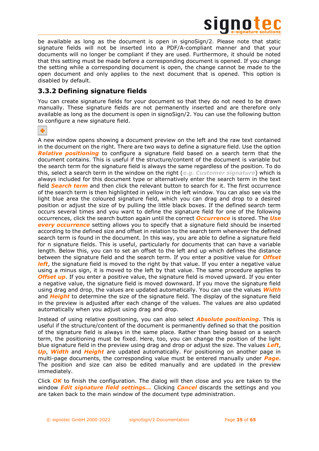

be available as long as the document is open in signoSign/2. Please note that static signature fields will not be inserted into a PDF/A-compliant manner and that your documents will no longer be compliant if they are used. Furthermore, it should be noted that this setting must be made before a corresponding document is opened. If you change the setting while a corresponding document is open, the change cannot be made to the open document and only applies to the next document that is opened. This option is disabled by default.

# <span id="page-34-0"></span>**3.3.2 Defining signature fields**

You can create signature fields for your document so that they do not need to be drawn manually. These signature fields are not permanently inserted and are therefore only available as long as the document is open in signoSign/2. You can use the following button to configure a new signature field.

# ٠

A new window opens showing a document preview on the left and the raw text contained in the document on the right. There are two ways to define a signature field. Use the option *Relative positioning* to configure a signature field based on a search term that the document contains. This is useful if the structure/content of the document is variable but the search term for the signature field is always the same regardless of the position. To do this, select a search term in the window on the right (*e.g. Customer signature*) which is always included for this document type or alternatively enter the search term in the text field *Search term* and then click the relevant button to search for it. The first occurrence of the search term is then highlighted in yellow in the left window. You can also see via the light blue area the coloured signature field, which you can drag and drop to a desired position or adjust the size of by pulling the little black boxes. If the defined search term occurs several times and you want to define the signature field for one of the following occurrences, click the search button again until the correct *Occurrence* is stored. The *Use*  **every occurrence** setting allows you to specify that a signature field should be inserted according to the defined size and offset in relation to the search term whenever the defined search term is found in the document. In this way, you are able to define a signature field for n signature fields. This is useful, particularly for documents that can have a variable length. Below this, you can to set an offset to the left and up which defines the distance between the signature field and the search term. If you enter a positive value for *Offset left*, the signature field is moved to the right by that value. If you enter a negative value using a minus sign, it is moved to the left by that value. The same procedure applies to **Offset up**. If you enter a positive value, the signature field is moved upward. If you enter a negative value, the signature field is moved downward. If you move the signature field using drag and drop, the values are updated automatically. You can use the values *Width* and *Height* to determine the size of the signature field. The display of the signature field in the preview is adjusted after each change of the values. The values are also updated automatically when you adjust using drag and drop.

Instead of using relative positioning, you can also select *Absolute positioning*. This is useful if the structure/content of the document is permanently defined so that the position of the signature field is always in the same place. Rather than being based on a search term, the positioning must be fixed. Here, too, you can change the position of the light blue signature field in the preview using drag and drop or adjust the size. The values *Left*, *Up*, *Width* and *Height* are updated automatically. For positioning on another page in multi-page documents, the corresponding value must be entered manually under *Page*. The position and size can also be edited manually and are updated in the preview immediately.

Click *OK* to finish the configuration. The dialog will then close and you are taken to the window *Edit signature field settings...* Clicking *Cancel* discards the settings and you are taken back to the main window of the document type administration.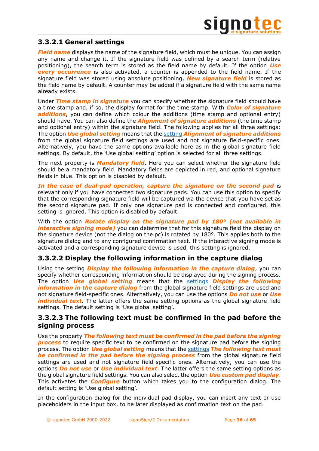# <span id="page-35-0"></span>**3.3.2.1 General settings**

*Field name* displays the name of the signature field, which must be unique. You can assign any name and change it. If the signature field was defined by a search term (relative positioning), the search term is stored as the field name by default. If the option *Use every occurrence* is also activated, a counter is appended to the field name. If the signature field was stored using absolute positioning, *New signature field* is stored as the field name by default. A counter may be added if a signature field with the same name already exists.

Under *Time stamp in signature* you can specify whether the signature field should have a time stamp and, if so, the display format for the time stamp. With *Color of signature additions*, you can define which colour the additions (time stamp and optional entry) should have. You can also define the *Alignment of signature additions* (the time stamp and optional entry) within the signature field. The following applies for all three settings: The option *Use global setting* means that the [setting](#page-32-1) *Alignment of signature additions* from the global signature field settings are used and not signature field-specific ones. Alternatively, you have the same options available here as in the global signature field settings. By default, the 'Use global setting' option is selected for all three settings.

The next property is *Mandatory field*. Here you can select whether the signature field should be a mandatory field. Mandatory fields are depicted in red, and optional signature fields in blue. This option is disabled by default.

*In the case of dual-pad operation, capture the signature on the second pad* is relevant only if you have connected two signature pads. You can use this option to specify that the corresponding signature field will be captured via the device that you have set as the second signature pad. If only one signature pad is connected and configured, this setting is ignored. This option is disabled by default.

With the option *Rotate display on the signature pad by 180° (not available in interactive signing mode)* you can determine that for this signature field the display on the signature device (not the dialog on the pc) is rotated by 180°. This applies both to the signature dialog and to any configured confirmation text. If the interactive signing mode is activated and a corresponding signature device is used, this setting is ignored.

# <span id="page-35-1"></span>**3.3.2.2 Display the following information in the capture dialog**

Using the setting *Display the following information in the capture dialog*, you can specify whether corresponding information should be displayed during the signing process. The option *Use global setting* means that the [settings](#page-32-1) *Display the following information in the capture dialog* from the global signature field settings are used and not signature field-specific ones. Alternatively, you can use the options *Do not use* or *Use individual text*. The latter offers the same setting options as the global signature field settings. The default setting is 'Use global setting'.

# <span id="page-35-2"></span>**3.3.2.3 The following text must be confirmed in the pad before the signing process**

Use the property *The following text must be confirmed in the pad before the signing*  **process** to require specific text to be confirmed on the signature pad before the signing process. The option *Use global setting* means that the [settings](#page-32-1) *The following text must be confirmed in the pad before the signing process* from the global signature field settings are used and not signature field-specific ones. Alternatively, you can use the options *Do not use* or *Use individual text*. The latter offers the same setting options as the global signature field settings. You can also select the option *Use custom pad display*. This activates the *Configure* button which takes you to the configuration dialog. The default setting is 'Use global setting'.

In the configuration dialog for the individual pad display, you can insert any text or use placeholders in the input box, to be later displayed as confirmation text on the pad.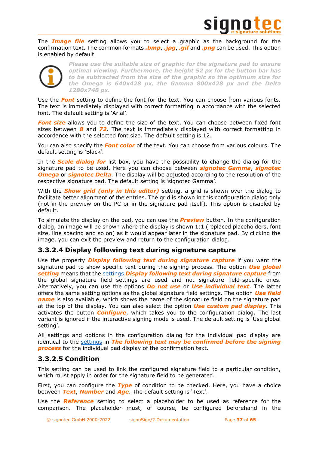

The *Image file* setting allows you to select a graphic as the background for the confirmation text. The common formats *.bmp*, *.jpg*, *.gif* and *.png* can be used. This option is enabled by default.



*Please use the suitable size of graphic for the signature pad to ensure optimal viewing. Furthermore, the height 52 px for the button bar has to be subtracted from the size of the graphic so the optimum size for the Omega is 640x428 px, the Gamma 800x428 px and the Delta 1280x748 px.*

Use the *Font* setting to define the font for the text. You can choose from various fonts. The text is immediately displayed with correct formatting in accordance with the selected font. The default setting is 'Arial'.

**Font size** allows you to define the size of the text. You can choose between fixed font sizes between *8* and *72*. The text is immediately displayed with correct formatting in accordance with the selected font size. The default setting is 12.

You can also specify the *Font color* of the text. You can choose from various colours. The default setting is 'Black'.

In the *Scale dialog for* list box, you have the possibility to change the dialog for the signature pad to be used. Here you can choose between *signotec Gamma*, *signotec Omega* or *signotec Delta*. The display will be adjusted according to the resolution of the respective signature pad. The default setting is 'signotec Gamma'.

With the *Show grid (only in this editor)* setting, a grid is shown over the dialog to facilitate better alignment of the entries. The grid is shown in this configuration dialog only (not in the preview on the PC or in the signature pad itself). This option is disabled by default.

To simulate the display on the pad, you can use the *Preview* button. In the configuration dialog, an image will be shown where the display is shown 1:1 (replaced placeholders, font size, line spacing and so on) as it would appear later in the signature pad. By clicking the image, you can exit the preview and return to the configuration dialog.

# <span id="page-36-0"></span>**3.3.2.4 Display following text during signature capture**

Use the property *Display following text during signature capture* if you want the signature pad to show specific text during the signing process. The option *Use global setting* means that the [settings](#page-32-1) *Display following text during signature capture* from the global signature field settings are used and not signature field-specific ones. Alternatively, you can use the options *Do not use* or *Use individual text*. The latter offers the same setting options as the global signature field settings. The option *Use field name* is also available, which shows the name of the signature field on the signature pad at the top of the display. You can also select the option *Use custom pad display*. This activates the button *Configure*, which takes you to the configuration dialog. The last variant is ignored if the interactive signing mode is used. The default setting is 'Use global setting'.

All settings and options in the configuration dialog for the individual pad display are identical to the [settings](#page-35-2) in *The following text may be confirmed before the signing process* for the individual pad display of the confirmation text.

# <span id="page-36-1"></span>**3.3.2.5 Condition**

This setting can be used to link the configured signature field to a particular condition, which must apply in order for the signature field to be generated.

First, you can configure the *Type* of condition to be checked. Here, you have a choice between *Text*, *Number* and *Age*. The default setting is 'Text'.

Use the *Reference* setting to select a placeholder to be used as reference for the comparison. The placeholder must, of course, be configured beforehand in the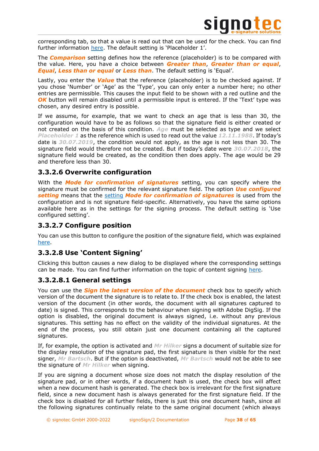

corresponding tab, so that a value is read out that can be used for the check. You can find further information [here](#page-40-1). The default setting is 'Placeholder 1'.

The *Comparison* setting defines how the reference (placeholder) is to be compared with the value. Here, you have a choice between *Greater than*, *Greater than or equal*, *Equal*, *Less than or equal* or *Less than*. The default setting is 'Equal'.

Lastly, you enter the *Value* that the reference (placeholder) is to be checked against. If you chose 'Number' or 'Age' as the 'Type', you can only enter a number here; no other entries are permissible. This causes the input field to be shown with a red outline and the *OK* button will remain disabled until a permissible input is entered. If the 'Text' type was chosen, any desired entry is possible.

If we assume, for example, that we want to check an age that is less than 30, the configuration would have to be as follows so that the signature field is either created or not created on the basis of this condition. *Age* must be selected as type and we select *Placeholder 1* as the reference which is used to read out the value *12.11.1988*. If today's date is *30.07.2019*, the condition would not apply, as the age is not less than 30. The signature field would therefore not be created. But if today's date were *30.07.2018*, the signature field would be created, as the condition then does apply. The age would be 29 and therefore less than 30.

# <span id="page-37-0"></span>**3.3.2.6 Overwrite configuration**

With the *Mode for confirmation of signatures* setting, you can specify where the signature must be confirmed for the relevant signature field. The option *Use configured setting* means that the [setting](#page-11-0) *Mode for confirmation of signatures* is used from the configuration and is not signature field-specific. Alternatively, you have the same options available here as in the settings for the signing process. The default setting is 'Use configured setting'.

# <span id="page-37-1"></span>**3.3.2.7 Configure position**

You can use this button to configure the position of the signature field, which was explained [here.](#page-34-0)

# <span id="page-37-2"></span>**3.3.2.8 Use 'Content Signing'**

Clicking this button causes a new dialog to be displayed where the corresponding settings can be made. You can find further information on the topic of content signing [here.](file:///C:/Users/matze/Library/Group%20Containers/G69SCX94XU.DRACOON/Library/Application%20Support/DRACOON/Volumes/TypeTime%20–%20DRACOON/TT-Server/Bestandskunden/Signotec%20GmbH/40867/Quelle/%23_%22signotec_Content_Signing)

# <span id="page-37-3"></span>**3.3.2.8.1 General settings**

You can use the *Sign the latest version of the document* check box to specify which version of the document the signature is to relate to. If the check box is enabled, the latest version of the document (in other words, the document with all signatures captured to date) is signed. This corresponds to the behaviour when signing with Adobe DigSig. If the option is disabled, the original document is always signed, i.e. without any previous signatures. This setting has no effect on the validity of the individual signatures. At the end of the process, you still obtain just one document containing all the captured signatures.

If, for example, the option is activated and *Mr Hilker* signs a document of suitable size for the display resolution of the signature pad, the first signature is then visible for the next signer, *Mr Bartsch*. But if the option is deactivated, *Mr Bartsch* would not be able to see the signature of *Mr Hilker* when signing.

If you are signing a document whose size does not match the display resolution of the signature pad, or in other words, if a document hash is used, the check box will affect when a new document hash is generated. The check box is irrelevant for the first signature field, since a new document hash is always generated for the first signature field. If the check box is disabled for all further fields, there is just this one document hash, since all the following signatures continually relate to the same original document (which always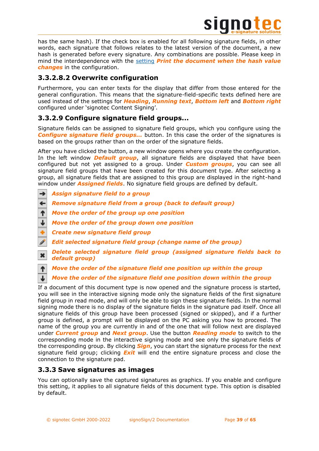

has the same hash). If the check box is enabled for all following signature fields, in other words, each signature that follows relates to the latest version of the document, a new hash is generated before every signature. Any combinations are possible. Please keep in mind the interdependence with the [setting](file:///C:/Users/matze/Library/Group%20Containers/G69SCX94XU.DRACOON/Library/Application%20Support/DRACOON/Volumes/TypeTime%20–%20DRACOON/TT-Server/Bestandskunden/Signotec%20GmbH/40867/Quelle/%23_%22signotec_Content_Signing) *Print the document when the hash value changes* in the configuration.

# <span id="page-38-0"></span>**3.3.2.8.2 Overwrite configuration**

Furthermore, you can enter texts for the display that differ from those entered for the general configuration. This means that the signature-field-specific texts defined here are used instead of the settings for *Heading*, *Running text*, *Bottom left* and *Bottom right* configured under 'signotec Content Signing'.

# <span id="page-38-1"></span>**3.3.2.9 Configure signature field groups...**

Signature fields can be assigned to signature field groups, which you configure using the *Configure signature field groups...* button. In this case the order of the signatures is based on the groups rather than on the order of the signature fields.

After you have clicked the button, a new window opens where you create the configuration. In the left window *Default group*, all signature fields are displayed that have been configured but not yet assigned to a group. Under *Custom groups*, you can see all signature field groups that have been created for this document type. After selecting a group, all signature fields that are assigned to this group are displayed in the right-hand window under *Assigned fields*. No signature field groups are defined by default.

- *Assign signature field to a group* →
- ← *Remove signature field from a group (back to default group)*
- ተ *Move the order of the group up one position*
- J *Move the order of the group down one position*
- *Create new signature field group*

 $\downarrow$ 

- *Edit selected signature field group (change name of the group)*
- *Delete selected signature field group (assigned signature fields back to*   $\mathbf{x}$ *default group)*

个 *Move the order of the signature field one position up within the group*

*Move the order of the signature field one position down within the group*

If a document of this document type is now opened and the signature process is started, you will see in the interactive signing mode only the signature fields of the first signature field group in read mode, and will only be able to sign these signature fields. In the normal signing mode there is no display of the signature fields in the signature pad itself. Once all signature fields of this group have been processed (signed or skipped), and if a further group is defined, a prompt will be displayed on the PC asking you how to proceed. The name of the group you are currently in and of the one that will follow next are displayed under *Current group* and *Next group*. Use the button *Reading mode* to switch to the corresponding mode in the interactive signing mode and see only the signature fields of the corresponding group. By clicking *Sign*, you can start the signature process for the next signature field group; clicking *Exit* will end the entire signature process and close the connection to the signature pad.

# <span id="page-38-2"></span>**3.3.3 Save signatures as images**

You can optionally save the captured signatures as graphics. If you enable and configure this setting, it applies to all signature fields of this document type. This option is disabled by default.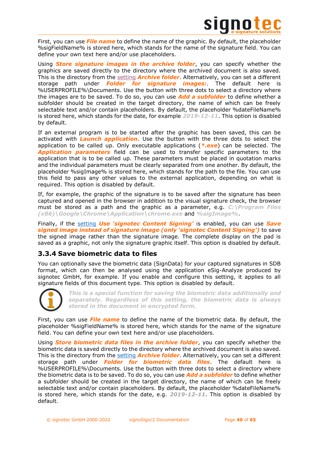

First, you can use *File name* to define the name of the graphic. By default, the placeholder %sigFieldName% is stored here, which stands for the name of the signature field. You can define your own text here and/or use placeholders.

Using *Store signature images in the archive folder*, you can specify whether the graphics are saved directly to the directory where the archived document is also saved. This is the directory from the [setting](#page-45-4) *Archive folder*. Alternatively, you can set a different storage path under *Folder for signature images:*. The default here is %USERPROFILE%\Documents. Use the button with three dots to select a directory where the images are to be saved. To do so, you can use *Add a subfolder* to define whether a subfolder should be created in the target directory, the name of which can be freely selectable text and/or contain placeholders. By default, the placeholder %dateFileName% is stored here, which stands for the date, for example *2019-12-11*. This option is disabled by default.

If an external program is to be started after the graphic has been saved, this can be activated with *Launch application*. Use the button with the three dots to select the application to be called up. Only executable applications (*\*.exe*) can be selected. The *Application parameters* field can be used to transfer specific parameters to the application that is to be called up. These parameters must be placed in quotation marks and the individual parameters must be clearly separated from one another. By default, the placeholder %sigImage% is stored here, which stands for the path to the file. You can use this field to pass any other values to the external application, depending on what is required. This option is disabled by default.

If, for example, the graphic of the signature is to be saved after the signature has been captured and opened in the browser in addition to the visual signature check, the browser must be stored as a path and the graphic as a parameter, e.g. *C:\Program Files (x86)\Google\Chrome\Application\chrome.exe* and *%sigImage%*.

Finally, if the [setting](file:///C:/Users/matze/Library/Group%20Containers/G69SCX94XU.DRACOON/Library/Application%20Support/DRACOON/Volumes/TypeTime%20–%20DRACOON/TT-Server/Bestandskunden/Signotec%20GmbH/40867/Quelle/%23_%22signotec_Content_Signing) *Use 'signotec Content Signing'* is enabled, you can use *Save signed image instead of signature image (only 'signotec Content Signing')* to save the signed image rather than the signature image. The complete display on the pad is saved as a graphic, not only the signature graphic itself. This option is disabled by default.

# <span id="page-39-0"></span>**3.3.4 Save biometric data to files**

You can optionally save the biometric data (SignData) for your captured signatures in SDB format, which can then be analysed using the application eSig-Analyze produced by signotec GmbH, for example. If you enable and configure this setting, it applies to all signature fields of this document type. This option is disabled by default.



*This is a special function for saving the biometric data additionally and separately. Regardless of this setting, the biometric data is always stored in the document in encrypted form.*

First, you can use *File name* to define the name of the biometric data. By default, the placeholder %sigFieldName% is stored here, which stands for the name of the signature field. You can define your own text here and/or use placeholders.

Using *Store biometric data files in the archive folder*, you can specify whether the biometric data is saved directly to the directory where the archived document is also saved. This is the directory from the [setting](#page-45-4) *Archive folder*. Alternatively, you can set a different storage path under *Folder for biometric data files*. The default here is %USERPROFILE%\Documents. Use the button with three dots to select a directory where the biometric data is to be saved. To do so, you can use *Add a subfolder* to define whether a subfolder should be created in the target directory, the name of which can be freely selectable text and/or contain placeholders. By default, the placeholder %dateFileName% is stored here, which stands for the date, e.g. *2019-12-11*. This option is disabled by default.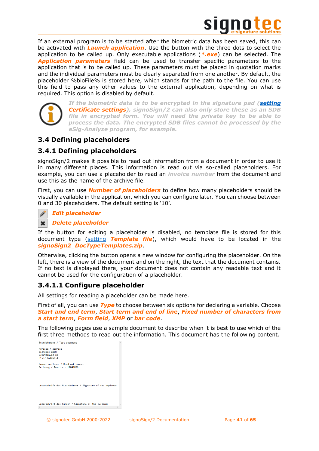

If an external program is to be started after the biometric data has been saved, this can be activated with *Launch application*. Use the button with the three dots to select the application to be called up. Only executable applications (*\*.exe*) can be selected. The *Application parameters* field can be used to transfer specific parameters to the application that is to be called up. These parameters must be placed in quotation marks and the individual parameters must be clearly separated from one another. By default, the placeholder %bioFile% is stored here, which stands for the path to the file. You can use this field to pass any other values to the external application, depending on what is required. This option is disabled by default.



*If the biometric data is to be encrypted in the signature pad [\(setting](#page-11-1) Certificate settings), signoSign/2 can also only store these as an SDB file in encrypted form. You will need the private key to be able to process the data. The encrypted SDB files cannot be processed by the eSig-Analyze program, for example.*

# <span id="page-40-0"></span>**3.4 Defining placeholders**

# <span id="page-40-1"></span>**3.4.1 Defining placeholders**

signoSign/2 makes it possible to read out information from a document in order to use it in many different places. This information is read out via so-called placeholders. For example, you can use a placeholder to read an *invoice number* from the document and use this as the name of the archive file.

First, you can use *Number of placeholders* to define how many placeholders should be visually available in the application, which you can configure later. You can choose between 0 and 30 placeholders. The default setting is '10'.

# *Edit placeholder*



### *Delete placeholder*

If the button for editing a placeholder is disabled, no template file is stored for this document type [\(setting](#page-26-0) *Template file*), which would have to be located in the *signoSign2\_DocTypeTemplates.zip*.

Otherwise, clicking the button opens a new window for configuring the placeholder. On the left, there is a view of the document and on the right, the text that the document contains. If no text is displayed there, your document does not contain any readable text and it cannot be used for the configuration of a placeholder.

# <span id="page-40-2"></span>**3.4.1.1 Configure placeholder**

All settings for reading a placeholder can be made here.

First of all, you can use *Type* to choose between six options for declaring a variable. Choose *Start and end term*, *Start term and end of line*, *Fixed number of characters from a start term*, *Form field*, *XMP* or *bar code*.

The following pages use a sample document to describe when it is best to use which of the first three methods to read out the information. This document has the following content.

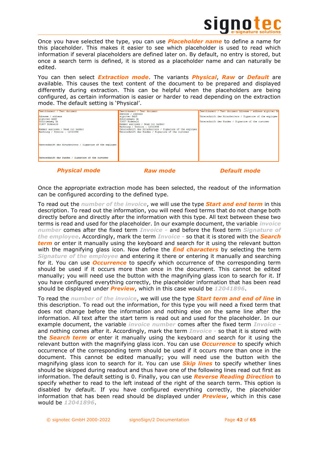

Once you have selected the type, you can use *Placeholder name* to define a name for this placeholder. This makes it easier to see which placeholder is used to read which information if several placeholders are defined later on. By default, no entry is stored, but once a search term is defined, it is stored as a placeholder name and can naturally be edited.

You can then select *Extraction mode*. The variants *Physical*, *Raw* or *Default* are available. This causes the text content of the document to be prepared and displayed differently during extraction. This can be helpful when the placeholders are being configured, as certain information is easier or harder to read depending on the extraction mode. The default setting is 'Physical'.

| Testdokument / Test document                              | Testdokument / Test document                              | Testdokument / Test document Adresse / address signotec Gm |
|-----------------------------------------------------------|-----------------------------------------------------------|------------------------------------------------------------|
|                                                           | Adresse / address                                         |                                                            |
| Adresse / address                                         | signotec GmbH                                             | Unterschrift des Mitarbeiters / Signature of the employee  |
| signotec GmbH                                             | Schützenweg 1b                                            |                                                            |
| Schützenweg 1b                                            | 31637 Rodewald                                            | Unterschrift des Kunden / Signature of the customer        |
| 31637 Rodewald                                            | Nummer auslesen / Read out number                         |                                                            |
|                                                           | Rechnung / Invoice - 12041896                             |                                                            |
| Nummer auslesen / Read out number                         | Unterschrift des Mitarbeiters / Signature of the employee |                                                            |
| $Rechnuma / Invoice - 12041896$                           | Unterschrift des Kunden / Signature of the customer       |                                                            |
|                                                           |                                                           |                                                            |
|                                                           |                                                           |                                                            |
|                                                           |                                                           |                                                            |
|                                                           |                                                           |                                                            |
| Unterschrift des Mitarbeiters / Signature of the employee |                                                           |                                                            |
|                                                           |                                                           |                                                            |
|                                                           |                                                           |                                                            |
|                                                           |                                                           |                                                            |
|                                                           |                                                           |                                                            |
| Unterschrift des Kunden / Signature of the customer       |                                                           |                                                            |
|                                                           |                                                           |                                                            |
|                                                           |                                                           |                                                            |

*Physical mode Raw mode Default mode*

Once the appropriate extraction mode has been selected, the readout of the information can be configured according to the defined type.

To read out the *number of the invoice*, we will use the type *Start and end term* in this description. To read out the information, you will need fixed terms that do not change both directly before and directly after the information with this type. All text between these two terms is read and used for the placeholder. In our example document, the variable *invoice number* comes after the fixed term *Invoice -* and before the fixed term *Signature of the employee*. Accordingly, mark the term *Invoice -* so that it is stored with the *Search term* or enter it manually using the keyboard and search for it using the relevant button with the magnifying glass icon. Now define the *End characters* by selecting the term *Signature of the employee* and entering it there or entering it manually and searching for it. You can use *Occurrence* to specify which occurrence of the corresponding term should be used if it occurs more than once in the document. This cannot be edited manually; you will need use the button with the magnifying glass icon to search for it. If you have configured everything correctly, the placeholder information that has been read should be displayed under *Preview*, which in this case would be *12041896*.

To read the *number of the invoice*, we will use the type *Start term and end of line* in this description. To read out the information, for this type you will need a fixed term that does not change before the information and nothing else on the same line after the information. All text after the start term is read out and used for the placeholder. In our example document, the variable *invoice number* comes after the fixed term *Invoice*  and nothing comes after it. Accordingly, mark the term *Invoice -* so that it is stored with the *Search term* or enter it manually using the keyboard and search for it using the relevant button with the magnifying glass icon. You can use *Occurrence* to specify which occurrence of the corresponding term should be used if it occurs more than once in the document. This cannot be edited manually; you will need use the button with the magnifying glass icon to search for it. You can use *Skip lines* to specify whether lines should be skipped during readout and thus have one of the following lines read out first as information. The default setting is 0. Finally, you can use *Reverse Reading Direction* to specify whether to read to the left instead of the right of the search term. This option is disabled by default. If you have configured everything correctly, the placeholder information that has been read should be displayed under *Preview*, which in this case would be *12041896*.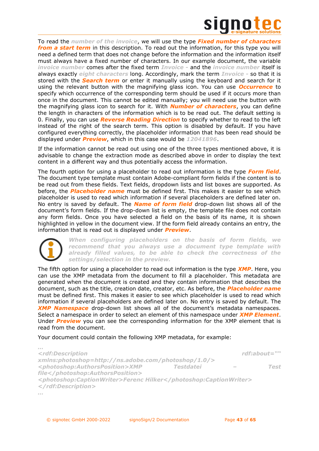

To read the *number of the invoice*, we will use the type *Fixed number of characters from a start term* in this description. To read out the information, for this type you will need a defined term that does not change before the information and the information itself must always have a fixed number of characters. In our example document, the variable *invoice number* comes after the fixed term *Invoice -* and the *invoice number* itself is always exactly *eight characters* long. Accordingly, mark the term *Invoice -* so that it is stored with the *Search term* or enter it manually using the keyboard and search for it using the relevant button with the magnifying glass icon. You can use *Occurrence* to specify which occurrence of the corresponding term should be used if it occurs more than once in the document. This cannot be edited manually; you will need use the button with the magnifying glass icon to search for it. With *Number of characters*, you can define the length in characters of the information which is to be read out. The default setting is 0. Finally, you can use *Reverse Reading Direction* to specify whether to read to the left instead of the right of the search term. This option is disabled by default. If you have configured everything correctly, the placeholder information that has been read should be displayed under *Preview*, which in this case would be *12041896*.

If the information cannot be read out using one of the three types mentioned above, it is advisable to change the extraction mode as described above in order to display the text content in a different way and thus potentially access the information.

The fourth option for using a placeholder to read out information is the type *Form field*. The document type template must contain Adobe-compliant form fields if the content is to be read out from these fields. Text fields, dropdown lists and list boxes are supported. As before, the *Placeholder name* must be defined first. This makes it easier to see which placeholder is used to read which information if several placeholders are defined later on. No entry is saved by default. The *Name of form field* drop-down list shows all of the document's form fields. If the drop-down list is empty, the template file does not contain any form fields. Once you have selected a field on the basis of its name, it is shown highlighted in yellow in the document view. If the form field already contains an entry, the information that is read out is displayed under *Preview*.



*…*

*When configuring placeholders on the basis of form fields, we recommend that you always use a document type template with already filled values, to be able to check the correctness of the settings/selection in the preview.*

The fifth option for using a placeholder to read out information is the type *XMP*. Here, you can use the XMP metadata from the document to fill a placeholder. This metadata are generated when the document is created and they contain information that describes the document, such as the title, creation date, creator, etc. As before, the *Placeholder name* must be defined first. This makes it easier to see which placeholder is used to read which information if several placeholders are defined later on. No entry is saved by default. The *XMP Namespace* drop-down list shows all of the document's metadata namespaces. Select a namespace in order to select an element of this namespace under *XMP Element*. Under *Preview* you can see the corresponding information for the XMP element that is read from the document.

Your document could contain the following XMP metadata, for example:

```
<rdf:Description rdf:about="" 
xmlns:photoshop=http://ns.adobe.com/photoshop/1.0/>
<photoshop:AuthorsPosition>XMP Testdatei – Test 
file</photoshop:AuthorsPosition>
<photoshop:CaptionWriter>Ferenc Hilker</photoshop:CaptionWriter>
</rdf:Description>
…
```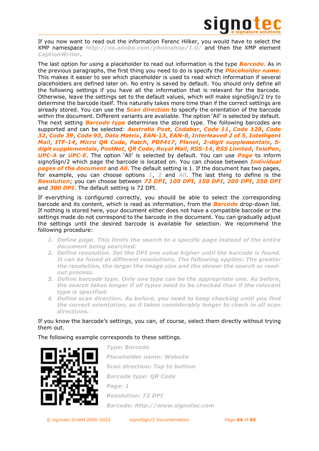

If you now want to read out the information Ferenc Hilker, you would have to select the XMP namespace *http://ns.adobe.com/photoshop/1.0/* and then the XMP element *CaptionWriter*.

The last option for using a placeholder to read out information is the type *Barcode*. As in the previous paragraphs, the first thing you need to do is specify the *Placeholder name*. This makes it easier to see which placeholder is used to read which information if several placeholders are defined later on. No entry is saved by default. You should only define all the following settings if you have all the information that is relevant for the barcode. Otherwise, leave the settings set to the default values, which will make signoSign/2 try to determine the barcode itself. This naturally takes more time than if the correct settings are already stored. You can use the *Scan direction* to specify the orientation of the barcode within the document. Different variants are available. The option 'All' is selected by default. The next setting *Barcode type* determines the stored type. The following barcodes are supported and can be selected: *Australia Post*, *Codabar*, *Code 11*, *Code 128*, *Code 32*, *Code 39*, *Code 93*, *Data Matrix*, *EAN-13*, *EAN-8*, *Interleaved 2 of 5*, *Intelligent Mail*, *ITF-14*, *Micro QR Code*, *Patch*, *PDF417*, *Planet*, *2-digit supplementals*, *5 digit supplementals*, *PostNet*, *QR Code*, *Royal Mail*, *RSS-14*, *RSS Limited*, *TelePen*, *UPC-A* or *UPC-E*. The option 'All' is selected by default. You can use *Page* to inform signoSign/2 which page the barcode is located on. You can choose between *Individual pages of the document* and *All*. The default setting is 1. If the document has two pages, for example, you can choose options *1*, *2* and *All*. The last thing to define is the *Resolution*; you can choose between *72 DPI*, *100 DPI*, *150 DPI*, *200 DPI*, *250 DPI* and *300 DPI*. The default setting is 72 DPI.

If everything is configured correctly, you should be able to select the corresponding barcode and its content, which is read as information, from the *Barcode* drop-down list. If nothing is stored here, your document either does not have a compatible barcode or the settings made do not correspond to the barcode in the document. You can gradually adjust the settings until the desired barcode is available for selection. We recommend the following procedure:

- *1. Define page. This limits the search to a specific page instead of the entire document being searched.*
- *2. Define resolution. Set the DPI one value higher until the barcode is found. It can be found at different resolutions. The following applies: The greater the resolution, the larger the image size and the slower the search or readout process.*
- *3. Define barcode type. Only one type can be the appropriate one. As before, the search takes longer if all types need to be checked than if the relevant type is specified.*
- *4. Define scan direction. As before, you need to keep checking until you find the correct orientation, as it takes considerably longer to check in all scan directions.*

# If you know the barcode's settings, you can, of course, select them directly without trying them out.

The following example corresponds to these settings.



*Type: Barcode Placeholder name: Website Scan direction: Top to bottom Barcode type: QR Code Page: 1 Resolution: 72 DPI Barcode: http://www.signotec.com*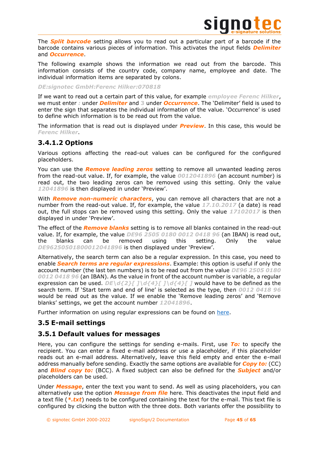

The *Split barcode* setting allows you to read out a particular part of a barcode if the barcode contains various pieces of information. This activates the input fields *Delimiter* and *Occurrence*.

The following example shows the information we read out from the barcode. This information consists of the country code, company name, employee and date. The individual information items are separated by colons.

### *DE:signotec GmbH:Ferenc Hilker:070818*

If we want to read out a certain part of this value, for example *employee Ferenc Hilker*, we must enter *:* under *Delimiter* and **3** under *Occurrence*. The 'Delimiter' field is used to enter the sign that separates the individual information of the value. 'Occurrence' is used to define which information is to be read out from the value.

The information that is read out is displayed under *Preview*. In this case, this would be *Ferenc Hilker*.

# <span id="page-44-0"></span>**3.4.1.2 Options**

Various options affecting the read-out values can be configured for the configured placeholders.

You can use the *Remove leading zeros* setting to remove all unwanted leading zeros from the read-out value. If, for example, the value *0012041896* (an account number) is read out, the two leading zeros can be removed using this setting. Only the value *12041896* is then displayed in under 'Preview'.

With *Remove non-numeric characters*, you can remove all characters that are not a number from the read-out value. If, for example, the value *17.10.2017* (a date) is read out, the full stops can be removed using this setting. Only the value *17102017* is then displayed in under 'Preview'.

The effect of the *Remove blanks* setting is to remove all blanks contained in the read-out value. If, for example, the value *DE96 2505 0180 0012 0418 96* (an IBAN) is read out, the blanks can be removed using this setting. Only the value *DE96250501800012041896* is then displayed under 'Preview'.

Alternatively, the search term can also be a regular expression. In this case, you need to enable *Search terms are regular expressions*. Example: this option is useful if only the account number (the last ten numbers) is to be read out from the value *DE96 2505 0180 0012 0418 96* (an IBAN). As the value in front of the account number is variable, a regular expression can be used. *DE\d{2}[]\d{4}[]\d{4}[]* would have to be defined as the search term. If 'Start term and end of line' is selected as the type, then *0012 0418 96* would be read out as the value. If we enable the 'Remove leading zeros' and 'Remove blanks' settings, we get the account number *12041896*.

Further information on using regular expressions can be found on [here.](http://www.regexlib.com/)

# <span id="page-44-1"></span>**3.5 E-mail settings**

# <span id="page-44-2"></span>**3.5.1 Default values for messages**

Here, you can configure the settings for sending e-mails. First, use *To:* to specify the recipient. You can enter a fixed e-mail address or use a placeholder, if this placeholder reads out an e-mail address. Alternatively, leave this field empty and enter the e-mail address manually before sending. Exactly the same options are available for *Copy to:* (CC) and *Blind copy to:* (BCC). A fixed subject can also be defined for the *Subject* and/or placeholders can be used.

Under *Message*, enter the text you want to send. As well as using placeholders, you can alternatively use the option *Message from file* here. This deactivates the input field and a text file (*\*.txt*) needs to be configured containing the text for the e-mail. This text file is configured by clicking the button with the three dots. Both variants offer the possibility to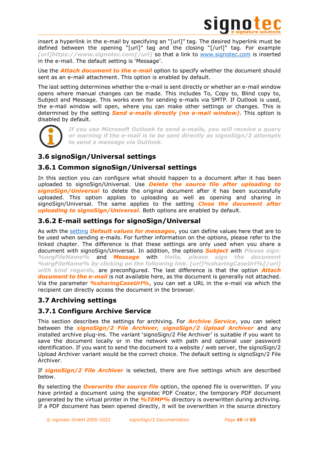

insert a hyperlink in the e-mail by specifying an "[url]" tag. The desired hyperlink must be defined between the opening "[url]" tag and the closing "[/url]" tag. For example *[url]https://www.signotec.com[/url]* so that a link to [www.signotec.com](http://www.signotec.com/) is inserted in the e-mail. The default setting is 'Message'.

Use the *Attach document to the e-mail* option to specify whether the document should sent as an e-mail attachment. This option is enabled by default.

The last setting determines whether the e-mail is sent directly or whether an e-mail window opens where manual changes can be made. This includes To, Copy to, Blind copy to, Subject and Message. This works even for sending e-mails via SMTP. If Outlook is used, the e-mail window will open, where you can make other settings or changes. This is determined by the setting *Send e-mails directly (no e-mail window)*. This option is disabled by default.



*If you use Microsoft Outlook to send e-mails, you will receive a query or warning if the e-mail is to be sent directly as signoSign/2 attempts to send a message via Outlook.*

# <span id="page-45-0"></span>**3.6 signoSign/Universal settings**

# <span id="page-45-1"></span>**3.6.1 Common signoSign/Universal settings**

In this section you can configure what should happen to a document after it has been uploaded to signoSign/Universal. Use *Delete the source file after uploading to signoSign/Universal* to delete the original document after it has been successfully uploaded. This option applies to uploading as well as opening and sharing in signoSign/Universal. The same applies to the setting *Close the document after uploading to signoSign/Universal*. Both options are enabled by default.

# <span id="page-45-2"></span>**3.6.2 E-mail settings for signoSign/Universal**

As with the [setting](#page-44-2) *Default values for messages*, you can define values here that are to be used when sending e-mails. For further information on the options, please refer to the linked chapter. The difference is that these settings are only used when you share a document with signoSign/Universal. In addition, the options *Subject* with *Please sign: %orgFileName%* and *Message* with *Hello, please sign the document %orgFileName% by clicking on the following link. [url]%sharingCaseUrl%[/url] with kind regards,* are preconfigured. The last difference is that the option *Attach document to the e-mail* is not available here, as the document is generally not attached. Via the parameter *%sharingCaseUrl%*, you can set a URL in the e-mail via which the recipient can directly access the document in the browser.

# <span id="page-45-3"></span>**3.7 Archiving settings**

# <span id="page-45-4"></span>**3.7.1 Configure Archive Service**

This section describes the settings for archiving. For *Archive Service*, you can select between the *signoSign/2 File Archiver, signoSign/2 Upload Archiver* and any installed archive plug-ins. The variant 'signoSign/2 File Archiver' is suitable if you want to save the document locally or in the network with path and optional user password identification. If you want to send the document to a website / web server, the signoSign/2 Upload Archiver variant would be the correct choice. The default setting is signoSign/2 File Archiver.

If *signoSign/2 File Archiver* is selected, there are five settings which are described below.

By selecting the *Overwrite the source file* option, the opened file is overwritten. If you have printed a document using the signotec PDF Creator, the temporary PDF document generated by the virtual printer in the *%TEMP%* directory is overwritten during archiving. If a PDF document has been opened directly, it will be overwritten in the source directory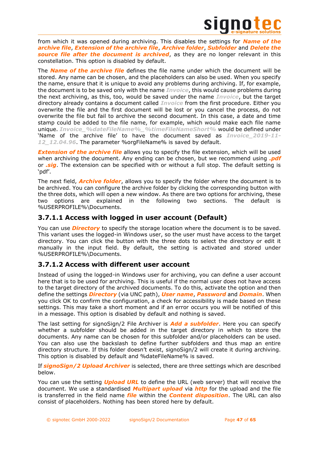

from which it was opened during archiving. This disables the settings for *Name of the archive file*, *Extension of the archive file*, *Archive folder*, *Subfolder* and *Delete the source file after the document is archived*, as they are no longer relevant in this constellation. This option is disabled by default.

The *Name of the archive file* defines the file name under which the document will be stored. Any name can be chosen, and the placeholders can also be used. When you specify the name, ensure that it is unique to avoid any problems during archiving. If, for example, the document is to be saved only with the name *Invoice*, this would cause problems during the next archiving, as this, too, would be saved under the name *Invoice*, but the target directory already contains a document called *Invoice* from the first procedure. Either you overwrite the file and the first document will be lost or you cancel the process, do not overwrite the file but fail to archive the second document. In this case, a date and time stamp could be added to the file name, for example, which would make each file name unique. *Invoice\_%dateFileName%\_%timeFileNameShort%* would be defined under 'Name of the archive file' to have the document saved as *Invoice\_2019-11- 12\_12.04.96*. The parameter %orgFileName% is saved by default.

**Extension of the archive file** allows you to specify the file extension, which will be used when archiving the document. Any ending can be chosen, but we recommend using *.pdf* or *.sig*. The extension can be specified with or without a full stop. The default setting is 'pdf'.

The next field, *Archive folder*, allows you to specify the folder where the document is to be archived. You can configure the archive folder by clicking the corresponding button with the three dots, which will open a new window. As there are two options for archiving, these two options are explained in the following two sections. The default is %USERPROFILE%\Documents.

# <span id="page-46-0"></span>**3.7.1.1 Access with logged in user account (Default)**

You can use *Directory* to specify the storage location where the document is to be saved. This variant uses the logged-in Windows user, so the user must have access to the target directory. You can click the button with the three dots to select the directory or edit it manually in the input field. By default, the setting is activated and stored under %USERPROFILE%\Documents.

# <span id="page-46-1"></span>**3.7.1.2 Access with different user account**

Instead of using the logged-in Windows user for archiving, you can define a user account here that is to be used for archiving. This is useful if the normal user does not have access to the target directory of the archived documents. To do this, activate the option and then define the settings *Directory* (via UNC path), *User name*, *Password* and *Domain*. When you click OK to confirm the configuration, a check for accessibility is made based on these settings. This may take a short moment and if an error occurs you will be notified of this in a message. This option is disabled by default and nothing is saved.

The last setting for signoSign/2 File Archiver is *Add a subfolder*. Here you can specify whether a subfolder should be added in the target directory in which to store the documents. Any name can be chosen for this subfolder and/or placeholders can be used. You can also use the backslash to define further subfolders and thus map an entire directory structure. If this folder doesn't exist, signoSign/2 will create it during archiving. This option is disabled by default and %dateFileName% is saved.

If *signoSign/2 Upload Archiver* is selected, there are three settings which are described below.

You can use the setting *Upload URL* to define the URL (web server) that will receive the document. We use a standardised *Multipart upload* via *http* for the upload and the file is transferred in the field name *file* within the *Content disposition*. The URL can also consist of placeholders. Nothing has been stored here by default.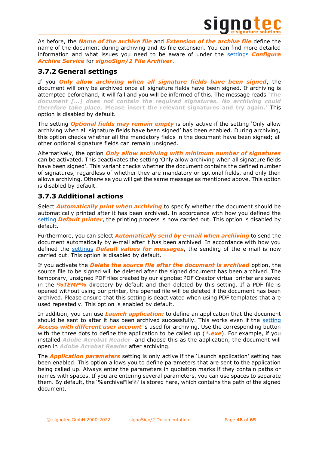

As before, the *Name of the archive file* and *Extension of the archive file* define the name of the document during archiving and its file extension. You can find more detailed information and what issues you need to be aware of under the [settings](#page-45-4) *Configure Archive Service* for *signoSign/2 File Archiver*.

# <span id="page-47-0"></span>**3.7.2 General settings**

If you *Only allow archiving when all signature fields have been signed*, the document will only be archived once all signature fields have been signed. If archiving is attempted beforehand, it will fail and you will be informed of this. The message reads *'The document […] does not contain the required signatures. No archiving could therefore take place.* **Please insert the relevant signatures and try again.'** This option is disabled by default.

The setting *Optional fields may remain empty* is only active if the setting 'Only allow archiving when all signature fields have been signed' has been enabled. During archiving, this option checks whether all the mandatory fields in the document have been signed; all other optional signature fields can remain unsigned.

Alternatively, the option *Only allow archiving with minimum number of signatures* can be activated. This deactivates the setting 'Only allow archiving when all signature fields have been signed'. This variant checks whether the document contains the defined number of signatures, regardless of whether they are mandatory or optional fields, and only then allows archiving. Otherwise you will get the same message as mentioned above. This option is disabled by default.

# <span id="page-47-1"></span>**3.7.3 Additional actions**

Select *Automatically print when archiving* to specify whether the document should be automatically printed after it has been archived. In accordance with how you defined the [setting](#page-31-1) *Default printer*, the printing process is now carried out. This option is disabled by default.

Furthermore, you can select *Automatically send by e-mail when archiving* to send the document automatically by e-mail after it has been archived. In accordance with how you defined the [settings](#page-44-2) *Default values for messages*, the sending of the e-mail is now carried out. This option is disabled by default.

If you activate the *Delete the source file after the document is archived* option, the source file to be signed will be deleted after the signed document has been archived. The temporary, unsigned PDF files created by our signotec PDF Creator virtual printer are saved in the *%TEMP%* directory by default and then deleted by this setting. If a PDF file is opened without using our printer, the opened file will be deleted if the document has been archived. Please ensure that this setting is deactivated when using PDF templates that are used repeatedly. This option is enabled by default.

In addition, you can use *Launch application:* to define an application that the document should be sent to after it has been archived successfully. This works even if the [setting](#page-46-1) *Access with different user account* is used for archiving. Use the corresponding button with the three dots to define the application to be called up (\*.exe). For example, if you installed *Adobe Acrobat Reader* and choose this as the application, the document will open in *Adobe Acrobat Reader* after archiving.

The *Application parameters* setting is only active if the 'Launch application' setting has been enabled. This option allows you to define parameters that are sent to the application being called up. Always enter the parameters in quotation marks if they contain paths or names with spaces. If you are entering several parameters, you can use spaces to separate them. By default, the '%archiveFile%' is stored here, which contains the path of the signed document.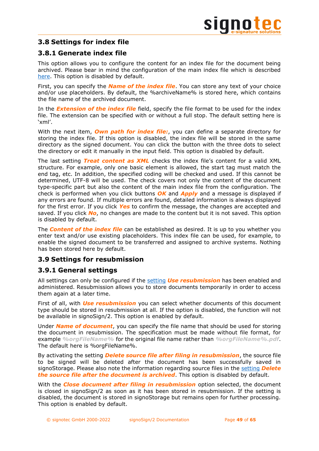# <span id="page-48-0"></span>**3.8 Settings for index file**

# <span id="page-48-1"></span>**3.8.1 Generate index file**

This option allows you to configure the content for an index file for the document being archived. Please bear in mind the configuration of the main index file which is described [here.](#page-23-4) This option is disabled by default.

First, you can specify the *Name of the index file*. You can store any text of your choice and/or use placeholders. By default, the %archiveName% is stored here, which contains the file name of the archived document.

In the *Extension of the index file* field, specify the file format to be used for the index file. The extension can be specified with or without a full stop. The default setting here is 'xml'.

With the next item, *Own path for index file:*, you can define a separate directory for storing the index file. If this option is disabled, the index file will be stored in the same directory as the signed document. You can click the button with the three dots to select the directory or edit it manually in the input field. This option is disabled by default.

The last setting *Treat content as XML* checks the index file's content for a valid XML structure. For example, only one basic element is allowed, the start tag must match the end tag, etc. In addition, the specified coding will be checked and used. If this cannot be determined, UTF-8 will be used. The check covers not only the content of the document type-specific part but also the content of the main index file from the configuration. The check is performed when you click buttons *OK* and *Apply* and a message is displayed if any errors are found. If multiple errors are found, detailed information is always displayed for the first error. If you click *Yes* to confirm the message, the changes are accepted and saved. If you click *No*, no changes are made to the content but it is not saved. This option is disabled by default.

The *Content of the index file* can be established as desired. It is up to you whether you enter text and/or use existing placeholders. This index file can be used, for example, to enable the signed document to be transferred and assigned to archive systems. Nothing has been stored here by default.

# <span id="page-48-2"></span>**3.9 Settings for resubmission**

# <span id="page-48-3"></span>**3.9.1 General settings**

All settings can only be configured if the [setting](#page-22-1) *Use resubmission* has been enabled and administered. Resubmission allows you to store documents temporarily in order to access them again at a later time.

First of all, with *Use resubmission* you can select whether documents of this document type should be stored in resubmission at all. If the option is disabled, the function will not be available in signoSign/2. This option is enabled by default.

Under *Name of document*, you can specify the file name that should be used for storing the document in resubmission. The specification must be made without file format, for example *%orgFileName%* for the original file name rather than *%orgFileName%.pdf*. The default here is %orgFileName%.

By activating the setting *Delete source file after filing in resubmission*, the source file to be signed will be deleted after the document has been successfully saved in signoStorage. Please also note the information regarding source files in the [setting](#page-47-1) *Delete the source file after the document is archived*. This option is disabled by default.

With the *Close document after filing in resubmission* option selected, the document is closed in signoSign/2 as soon as it has been stored in resubmission. If the setting is disabled, the document is stored in signoStorage but remains open for further processing. This option is enabled by default.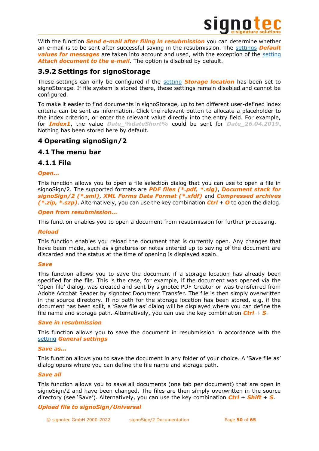

With the function *Send e-mail after filing in resubmission* you can determine whether an e-mail is to be sent after successful saving in the resubmission. The [settings](#page-44-2) *Default*  **values for messages** are taken into account and used, with the exception of the [setting](#page-44-2) *Attach document to the e-mail*. The option is disabled by default.

# <span id="page-49-0"></span>**3.9.2 Settings for signoStorage**

These settings can only be configured if the [setting](#page-22-1) *Storage location* has been set to signoStorage. If file system is stored there, these settings remain disabled and cannot be configured.

To make it easier to find documents in signoStorage, up to ten different user-defined index criteria can be sent as information. Click the relevant button to allocate a placeholder to the index criterion, or enter the relevant value directly into the entry field. For example, for *Index1*, the value *Date\_%dateShort%* could be sent for *Date\_26.04.2019*. Nothing has been stored here by default.

# <span id="page-49-1"></span>**4 Operating signoSign/2**

# <span id="page-49-2"></span>**4.1 The menu bar**

# <span id="page-49-3"></span>**4.1.1 File**

### *Open...*

This function allows you to open a file selection dialog that you can use to open a file in signoSign/2. The supported formats are *PDF files (\*.pdf, \*.sig)*, *Document stack for signoSign/2 (\*.sml)*, *XML Forms Data Format (\*.xfdf)* and *Compressed archives (\*.zip, \*.szp)*. Alternatively, you can use the key combination *Ctrl* + *O* to open the dialog.

### *Open from resubmission...*

This function enables you to open a document from resubmission for further processing.

### *Reload*

This function enables you reload the document that is currently open. Any changes that have been made, such as signatures or notes entered up to saving of the document are discarded and the status at the time of opening is displayed again.

### *Save*

This function allows you to save the document if a storage location has already been specified for the file. This is the case, for example, if the document was opened via the 'Open file' dialog, was created and sent by signotec PDF Creator or was transferred from Adobe Acrobat Reader by signotec Document Transfer. The file is then simply overwritten in the source directory. If no path for the storage location has been stored, e.g. if the document has been split, a 'Save file as' dialog will be displayed where you can define the file name and storage path. Alternatively, you can use the key combination *Ctrl* + *S*.

### *Save in resubmission*

This function allows you to save the document in resubmission in accordance with the [setting](#page-48-3) *General settings*

### *Save as...*

This function allows you to save the document in any folder of your choice. A 'Save file as' dialog opens where you can define the file name and storage path.

### *Save all*

This function allows you to save all documents (one tab per document) that are open in signoSign/2 and have been changed. The files are then simply overwritten in the source directory (see 'Save'). Alternatively, you can use the key combination *Ctrl* + *Shift* + *S*.

# *Upload file to signoSign/Universal*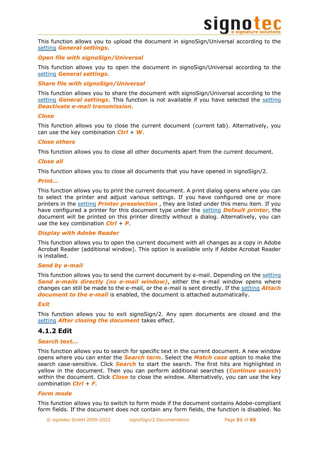

This function allows you to upload the document in signoSign/Universal according to the [setting](#page-22-5) *General settings*.

### *Open file with signoSign/Universal*

This function allows you to open the document in signoSign/Universal according to the [setting](#page-22-5) *General settings*.

### *Share file with signoSign/Universal*

This function allows you to share the document with signoSign/Universal according to the [setting](#page-22-5) *General settings*. This function is not available if you have selected the [setting](#page-9-2) *Deactivate e-mail transmission*.

### *Close*

This function allows you to close the current document (current tab). Alternatively, you can use the key combination *Ctrl* + *W*.

### *Close others*

This function allows you to close all other documents apart from the current document.

### *Close all*

This function allows you to close all documents that you have opened in signoSign/2.

### *Print...*

This function allows you to print the current document. A print dialog opens where you can to select the printer and adjust various settings. If you have configured one or more printers in the [setting](#page-9-0) *Printer preselection* , they are listed under this menu item. If you have configured a printer for this document type under the [setting](#page-31-1) *Default printer*, the document will be printed on this printer directly without a dialog. Alternatively, you can use the key combination *Ctrl* + *P*.

### *Display with Adobe Reader*

This function allows you to open the current document with all changes as a copy in Adobe Acrobat Reader (additional window). This option is available only if Adobe Acrobat Reader is installed.

### *Send by e-mail*

This function allows you to send the current document by e-mail. Depending on the [setting](#page-44-2) *Send e-mails directly (no e-mail window)*, either the e-mail window opens where changes can still be made to the e-mail, or the e-mail is sent directly. If the [setting](#page-44-2) *Attach document to the e-mail* is enabled, the document is attached automatically.

### *Exit*

This function allows you to exit signoSign/2. Any open documents are closed and the [setting](#page-27-0) *After closing the document* takes effect.

# <span id="page-50-0"></span>**4.1.2 Edit**

### *Search text...*

This function allows you to search for specific text in the current document. A new window opens where you can enter the *Search term*. Select the *Match case* option to make the search case-sensitive. Click *Search* to start the search. The first hits are highlighted in yellow in the document. Then you can perform additional searches (*Continue search*) within the document. Click *Close* to close the window. Alternatively, you can use the key combination *Ctrl* + *F*.

### *Form mode*

This function allows you to switch to form mode if the document contains Adobe-compliant form fields. If the document does not contain any form fields, the function is disabled. No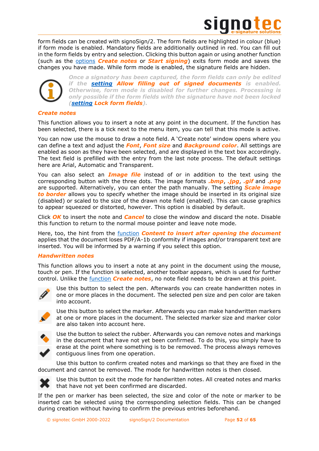

form fields can be created with signoSign/2. The form fields are highlighted in colour (blue) if form mode is enabled. Mandatory fields are additionally outlined in red. You can fill out in the form fields by entry and selection. Clicking this button again or using another function (such as the [options](#page-50-0) *Create notes* or *Start signing*) exits form mode and saves the changes you have made. While form mode is enabled, the signature fields are hidden.



*Once a signatory has been captured, the form fields can only be edited if the [setting](#page-27-0) Allow filling out of signed documents is enabled. Otherwise, form mode is disabled for further changes. Processing is only possible if the form fields with the signature have not been locked [\(setting](#page-32-1) Lock form fields).*

### *Create notes*

This function allows you to insert a note at any point in the document. If the function has been selected, there is a tick next to the menu item, you can tell that this mode is active.

You can now use the mouse to draw a note field. A 'Create note' window opens where you can define a text and adjust the *Font*, *Font size* and *Background color*. All settings are enabled as soon as they have been selected, and are displayed in the text box accordingly. The text field is prefilled with the entry from the last note process. The default settings here are Arial, Automatic and Transparent.

You can also select an *Image file* instead of or in addition to the text using the corresponding button with the three dots. The image formats *.bmp*, *.jpg*, *.gif* and *.png* are supported. Alternatively, you can enter the path manually. The setting *Scale image to border* allows you to specify whether the image should be inserted in its original size (disabled) or scaled to the size of the drawn note field (enabled). This can cause graphics to appear squeezed or distorted, however. This option is disabled by default.

Click *OK* to insert the note and *Cancel* to close the window and discard the note. Disable this function to return to the normal mouse pointer and leave note mode.

Here, too, the hint from the [function](#page-29-0) *Content to insert after opening the document* applies that the document loses PDF/A-1b conformity if images and/or transparent text are inserted. You will be informed by a warning if you select this option.

### *Handwritten notes*

This function allows you to insert a note at any point in the document using the mouse, touch or pen. If the function is selected, another toolbar appears, which is used for further control. Unlike the [function](#page-50-0) *Create notes*, no note field needs to be drawn at this point.



Use this button to select the pen. Afterwards you can create handwritten notes in one or more places in the document. The selected pen size and pen color are taken into account.



Use this button to select the marker. Afterwards you can make handwritten markers at one or more places in the document. The selected marker size and marker color are also taken into account here.



Use the button to select the rubber. Afterwards you can remove notes and markings in the document that have not yet been confirmed. To do this, you simply have to erase at the point where something is to be removed. The process always removes contiguous lines from one operation.

Use this button to confirm created notes and markings so that they are fixed in the document and cannot be removed. The mode for handwritten notes is then closed.



Use this button to exit the mode for handwritten notes. All created notes and marks that have not yet been confirmed are discarded.

If the pen or marker has been selected, the size and color of the note or marker to be inserted can be selected using the corresponding selection fields. This can be changed during creation without having to confirm the previous entries beforehand.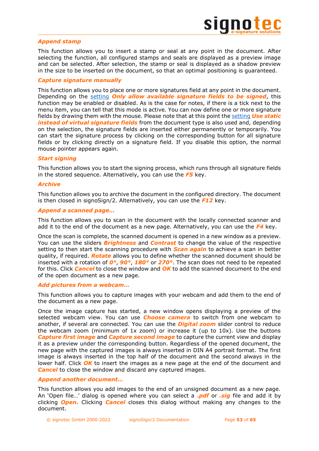

### *Append stamp*

This function allows you to insert a stamp or seal at any point in the document. After selecting the function, all configured stamps and seals are displayed as a preview image and can be selected. After selection, the stamp or seal is displayed as a shadow preview in the size to be inserted on the document, so that an optimal positioning is guaranteed.

### *Capture signature manually*

This function allows you to place one or more signatures field at any point in the document. Depending on the [setting](#page-27-0) *Only allow available signature fields to be signed*, this function may be enabled or disabled. As is the case for notes, if there is a tick next to the menu item, you can tell that this mode is active. You can now define one or more signature fields by drawing them with the mouse. Please note that at this point the [setting](#page-32-1) *Use static instead of virtual signature fields* from the document type is also used and, depending on the selection, the signature fields are inserted either permanently or temporarily. You can start the signature process by clicking on the corresponding button for all signature fields or by clicking directly on a signature field. If you disable this option, the normal mouse pointer appears again.

### *Start signing*

This function allows you to start the signing process, which runs through all signature fields in the stored sequence. Alternatively, you can use the *F5* key.

### *Archive*

This function allows you to archive the document in the configured directory. The document is then closed in signoSign/2. Alternatively, you can use the *F12* key.

### *Append a scanned page…*

This function allows you to scan in the document with the locally connected scanner and add it to the end of the document as a new page. Alternatively, you can use the *F4* key.

Once the scan is complete, the scanned document is opened in a new window as a preview. You can use the sliders *Brightness* and *Contrast* to change the value of the respective setting to then start the scanning procedure with *Scan again* to achieve a scan in better quality, if required. *Rotate* allows you to define whether the scanned document should be inserted with a rotation of *0°*, *90°*, *180°* or *270°*. The scan does not need to be repeated for this. Click *Cancel* to close the window and *OK* to add the scanned document to the end of the open document as a new page.

### *Add pictures from a webcam…*

This function allows you to capture images with your webcam and add them to the end of the document as a new page.

Once the image capture has started, a new window opens displaying a preview of the selected webcam view. You can use *Choose camera* to switch from one webcam to another, if several are connected. You can use the *Digital zoom* slider control to reduce the webcam zoom (minimum of 1x zoom) or increase it (up to 10x). Use the buttons *Capture first image* and *Capture second image* to capture the current view and display it as a preview under the corresponding button. Regardless of the opened document, the new page with the captured images is always inserted in DIN A4 portrait format. The first image is always inserted in the top half of the document and the second always in the lower half. Click **OK** to insert the images as a new page at the end of the document and *Cancel* to close the window and discard any captured images.

### *Append another document…*

This function allows you add images to the end of an unsigned document as a new page. An 'Open file…' dialog is opened where you can select a *.pdf* or *.sig* file and add it by clicking *Open*. Clicking *Cancel* closes this dialog without making any changes to the document.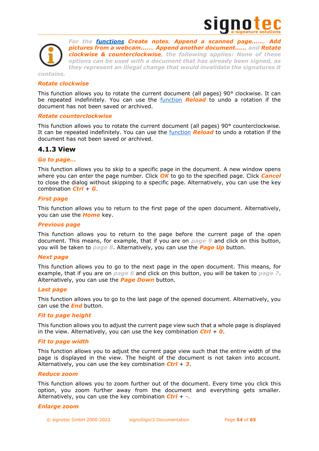



### <span id="page-53-1"></span>*Rotate clockwise*

This function allows you to rotate the current document (all pages) 90° clockwise. It can be repeated indefinitely. You can use the [function](#page-49-3) *Reload* to undo a rotation if the document has not been saved or archived.

### *Rotate counterclockwise*

This function allows you to rotate the current document (all pages) 90° counterclockwise. It can be repeated indefinitely. You can use the [function](#page-49-3) *Reload* to undo a rotation if the document has not been saved or archived.

### <span id="page-53-0"></span>**4.1.3 View**

### *Go to page...*

This function allows you to skip to a specific page in the document. A new window opens where you can enter the page number. Click *OK* to go to the specified page. Click *Cancel* to close the dialog without skipping to a specific page. Alternatively, you can use the key combination *Ctrl* + *G*.

### *First page*

This function allows you to return to the first page of the open document. Alternatively, you can use the *Home* key.

### *Previous page*

This function allows you to return to the page before the current page of the open document. This means, for example, that if you are on *page 9* and click on this button, you will be taken to *page 8*. Alternatively, you can use the *Page Up* button.

### *Next page*

This function allows you to go to the next page in the open document. This means, for example, that if you are on *page 6* and click on this button, you will be taken to *page 7*. Alternatively, you can use the *Page Down* button.

### *Last page*

This function allows you to go to the last page of the opened document. Alternatively, you can use the *End* button.

### *Fit to page height*

This function allows you to adjust the current page view such that a whole page is displayed in the view. Alternatively, you can use the key combination *Ctrl* + *0*.

### *Fit to page width*

This function allows you to adjust the current page view such that the entire width of the page is displayed in the view. The height of the document is not taken into account. Alternatively, you can use the key combination *Ctrl* + *3*.

### *Reduce zoom*

This function allows you to zoom further out of the document. Every time you click this option, you zoom further away from the document and everything gets smaller. Alternatively, you can use the key combination *Ctrl* + *-*.

### *Enlarge zoom*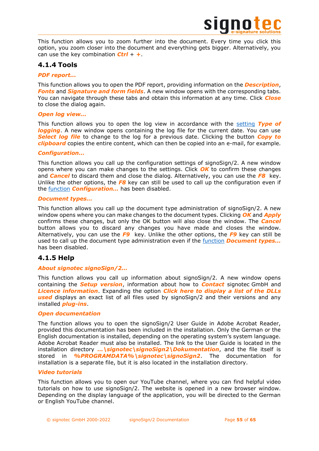

This function allows you to zoom further into the document. Every time you click this option, you zoom closer into the document and everything gets bigger. Alternatively, you can use the key combination *Ctrl* + *+*.

# <span id="page-54-0"></span>**4.1.4 Tools**

### *PDF report...*

This function allows you to open the PDF report, providing information on the *Description*, *Fonts* and *Signature and form fields*. A new window opens with the corresponding tabs. You can navigate through these tabs and obtain this information at any time. Click *Close* to close the dialog again.

### *Open log view...*

This function allows you to open the log view in accordance with the [setting](#page-7-1) *Type of logging*. A new window opens containing the log file for the current date. You can use *Select log file* to change to the log for a previous date. Clicking the button *Copy to clipboard* copies the entire content, which can then be copied into an e-mail, for example.

### *Configuration…*

This function allows you call up the configuration settings of signoSign/2. A new window opens where you can make changes to the settings. Click *OK* to confirm these changes and *Cancel* to discard them and close the dialog. Alternatively, you can use the *F8* key. Unlike the other options, the *F8* key can still be used to call up the configuration even if the [function](#page-23-2) *Configuration…* has been disabled.

### *Document types…*

This function allows you call up the document type administration of signoSign/2. A new window opens where you can make changes to the document types. Clicking *OK* and *Apply* confirms these changes, but only the OK button will also close the window. The *Cancel* button allows you to discard any changes you have made and closes the window. Alternatively, you can use the *F9* key. Unlike the other options, the *F9* key can still be used to call up the document type administration even if the [function](#page-23-2) *Document types...* has been disabled.

# <span id="page-54-1"></span>**4.1.5 Help**

### *About signotec signoSign/2...*

This function allows you call up information about signoSign/2. A new window opens containing the *Setup version*, information about how to *Contact* signotec GmbH and *Licence information*. Expanding the option *Click here to display a list of the DLLs used* displays an exact list of all files used by signoSign/2 and their versions and any installed *plug-ins*.

### *Open documentation*

The function allows you to open the signoSign/2 User Guide in Adobe Acrobat Reader, provided this documentation has been included in the installation. Only the German or the English documentation is installed, depending on the operating system's system language. Adobe Acrobat Reader must also be installed. The link to the User Guide is located in the installation directory *…\signotec\signoSign2\Dokumentation*, and the file itself is stored in *%PROGRAMDATA%\signotec\signoSign2*. The documentation for installation is a separate file, but it is also located in the installation directory.

### *Video tutorials*

This function allows you to open our YouTube channel, where you can find helpful video tutorials on how to use signoSign/2. The website is opened in a new browser window. Depending on the display language of the application, you will be directed to the German or English YouTube channel.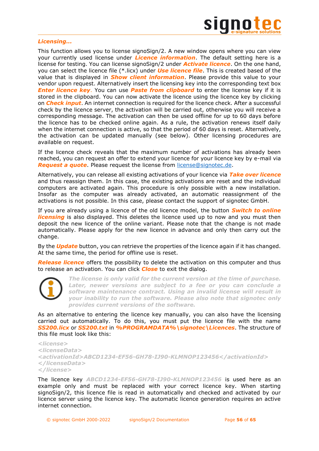

### *Licensing...*

This function allows you to license signoSign/2. A new window opens where you can view your currently used license under *Licence information*. The default setting here is a license for testing. You can license signoSign/2 under *Activate licence*. On the one hand, you can select the licence file (\*.licx) under *Use licence file*. This is created based of the value that is displayed in *Show client information*. Please provide this value to your vendor upon request. Alternatively insert the licensing key into the corresponding text box *Enter licence key.* You can use **Paste from clipboard** to enter the license key if it is stored in the clipboard. You can now activate the licence using the licence key by clicking on *Check input*. An internet connection is required for the licence check. After a successful check by the licence server, the activation will be carried out, otherwise you will receive a corresponding message. The activation can then be used offline for up to 60 days before the licence has to be checked online again. As a rule, the activation renews itself daily when the internet connection is active, so that the period of 60 days is reset. Alternatively, the activation can be updated manually (see below). Other licensing procedures are available on request.

If the licence check reveals that the maximum number of activations has already been reached, you can request an offer to extend your licence for your licence key by e-mail via *Request a quote*. Please request the license from [license@signotec.de.](mailto:license@signotec.de)

Alternatively, you can release all existing activations of your licence via *Take over licence* and thus reassign them. In this case, the existing activations are reset and the individual computers are activated again. This procedure is only possible with a new installation. Insofar as the computer was already activated, an automatic reassignment of the activations is not possible. In this case, please contact the support of signotec GmbH.

If you are already using a licence of the old licence model, the button *Switch to online*  **licensing** is also displayed. This deletes the licence used up to now and you must then deposit the new licence of the online variant. Please note that the change is not made automatically. Please apply for the new licence in advance and only then carry out the change.

By the *Update* button, you can retrieve the properties of the licence again if it has changed. At the same time, the period for offline use is reset.

*Release licence* offers the possibility to delete the activation on this computer and thus to release an activation. You can click *Close* to exit the dialog.



*The license is only valid for the current version at the time of purchase. Later, newer versions are subject to a fee or you can conclude a software maintenance contract. Using an invalid license will result in your inability to run the software. Please also note that signotec only provides current versions of the software.*

As an alternative to entering the licence key manually, you can also have the licensing carried out automatically. To do this, you must put the licence file with the name *SS200.licx* or *SS200.txt* in *%PROGRAMDATA%\signotec\Licences*. The structure of this file must look like this:

*<license> <licenseData> <activationId>ABCD1234-EF56-GH78-IJ90-KLMNOP123456</activationId> </licenseData> </license>*

The licence key *ABCD1234-EF56-GH78-IJ90-KLMNOP123456* is used here as an example only and must be replaced with your correct licence key. When starting signoSign/2, this licence file is read in automatically and checked and activated by our licence server using the licence key. The automatic licence generation requires an active internet connection.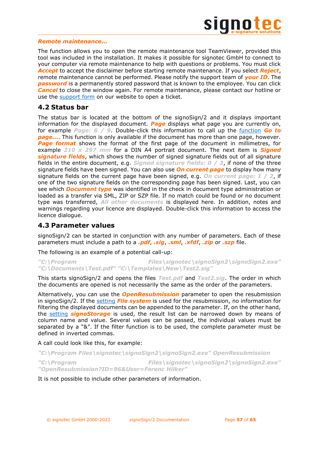

### *Remote maintenance...*

The function allows you to open the remote maintenance tool TeamViewer, provided this tool was included in the installation. It makes it possible for signotec GmbH to connect to your computer via remote maintenance to help with questions or problems. You must click *Accept* to accept the disclaimer before starting remote maintenance. If you select *Reject*, remote maintenance cannot be performed. Please notify the support team of *your ID*. The **password** is a permanently stored password that is known to the employee. You can click *Cancel* to close the window again. For remote maintenance, please contact our hotline or use the [support form](https://en.signotec.com/supportform) on our website to open a ticket.

# <span id="page-56-0"></span>**4.2 Status bar**

The status bar is located at the bottom of the signoSign/2 and it displays important information for the displayed document. *Page* displays what page you are currently on, for example *Page: 6 / 9*. Double-click this information to call up the [function](#page-53-1) *Go to page...*. This function is only available if the document has more than one page, however. **Page format** shows the format of the first page of the document in millimetres, for example *210 x 297 mm* for a DIN A4 portrait document. The next item is *Signed signature fields*, which shows the number of signed signature fields out of all signature fields in the entire document, e.g. *Signed signature fields: 0 / 3*, if none of the three signature fields have been signed. You can also use *On current page* to display how many signature fields on the current page have been signed, e.g. *On current page: 1 / 2*, if one of the two signature fields on the corresponding page has been signed. Last, you can see which *Document type* was identified in the check in document type administration or loaded as a transfer via SML, ZIP or SZP file. If no match could be found or no document type was transferred, *All other documents* is displayed here. In addition, notes and warnings regarding your licence are displayed. Double-click this information to access the licence dialogue.

# <span id="page-56-1"></span>**4.3 Parameter values**

signoSign/2 can be started in conjunction with any number of parameters. Each of these parameters must include a path to a *.pdf*, *.sig*, *.sml*, *.xfdf*, *.zip* or *.szp* file.

The following is an example of a potential call-up:

*"C:\Program Files\signotec\signoSign2\signoSign2.exe" "C:\Documents\Test.pdf" "C:\Templates\New\Test2.sig"*

This starts signoSign/2 and opens the files *Test.pdf* and *Test2.sig*. The order in which the documents are opened is not necessarily the same as the order of the parameters.

Alternatively, you can use the *OpenResubmission* parameter to open the resubmission in signoSign/2. If the [setting](#page-22-1) *File system* is used for the resubmission, no information for filtering the displayed documents can be appended to the parameter. If, on the other hand, the [setting](#page-22-1) *signoStorage* is used, the result list can be narrowed down by means of column name and value. Several values can be passed, the individual values must be separated by a "&". If the filter function is to be used, the complete parameter must be defined in inverted commas.

A call could look like this, for example:

*"C:\Program Files\signotec\signoSign2\signoSign2.exe" OpenResubmission*

*"C:\Program Files\signotec\signoSign2\signoSign2.exe" "OpenResubmission?ID=96&User=Ferenc Hilker"*

It is not possible to include other parameters of information.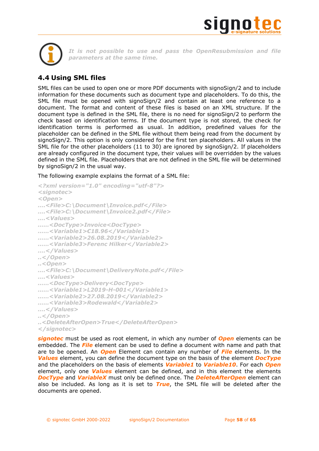



*It is not possible to use and pass the OpenResubmission and file parameters at the same time.*

# <span id="page-57-0"></span>**4.4 Using SML files**

SML files can be used to open one or more PDF documents with signoSign/2 and to include information for these documents such as document type and placeholders. To do this, the SML file must be opened with signoSign/2 and contain at least one reference to a document. The format and content of these files is based on an XML structure. If the document type is defined in the SML file, there is no need for signoSign/2 to perform the check based on identification terms. If the document type is not stored, the check for identification terms is performed as usual. In addition, predefined values for the placeholder can be defined in the SML file without them being read from the document by signoSign/2. This option is only considered for the first ten placeholders. All values in the SML file for the other placeholders (11 to 30) are ignored by signoSign/2. If placeholders are already configured in the document type, their values will be overridden by the values defined in the SML file. Placeholders that are not defined in the SML file will be determined by signoSign/2 in the usual way.

The following example explains the format of a SML file:

```
<?xml version="1.0" encoding="utf-8"?>
<signotec>
<Open>
….<File>C:\Document\Invoice.pdf</File>
….<File>C:\Document\Invoice2.pdf</File>
….<Values>
……<DocType>Invoice<DocType>
……<Variable1>€18.96</Variable1>
……<Variable2>26.08.2019</Variable2>
……<Variable3>Ferenc Hilker</Variable2>
….</Values>
..</Open>
..<Open>
….<File>C:\Document\DeliveryNote.pdf</File>
….<Values>
……<DocType>Delivery<DocType>
……<Variable1>L2019-H-001</Variable1>
……<Variable2>27.08.2019</Variable2>
……<Variable3>Rodewald</Variable2>
….</Values>
..</Open>
..<DeleteAfterOpen>True</DeleteAfterOpen>
</signotec>
```
*signotec* must be used as root element, in which any number of *Open* elements can be embedded. The *File* element can be used to define a document with name and path that are to be opened. An *Open* Element can contain any number of *File* elements. In the *Values* element, you can define the document type on the basis of the element *DocType* and the placeholders on the basis of elements *Variable1* to *Variable10*. For each *Open* element, only one *Values* element can be defined, and in this element the elements *DocType* and *VariableX* must only be defined once. The *DeleteAfterOpen* element can also be included. As long as it is set to *True*, the SML file will be deleted after the documents are opened.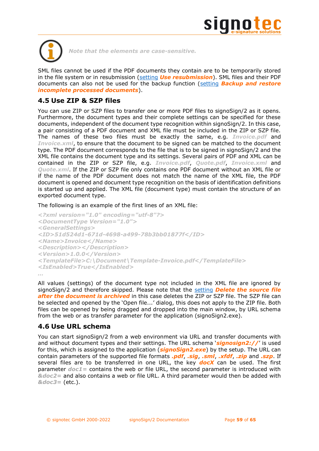



*Note that the elements are case-sensitive.*

SML files cannot be used if the PDF documents they contain are to be temporarily stored in the file system or in resubmission [\(setting](#page-48-3) *Use resubmission*). SML files and their PDF documents can also not be used for the backup function [\(setting](#page-27-0) *Backup and restore incomplete processed documents*).

# <span id="page-58-0"></span>**4.5 Use ZIP & SZP files**

You can use ZIP or SZP files to transfer one or more PDF files to signoSign/2 as it opens. Furthermore, the document types and their complete settings can be specified for these documents, independent of the document type recognition within signoSign/2. In this case, a pair consisting of a PDF document and XML file must be included in the ZIP or SZP file. The names of these two files must be exactly the same, e.g. *Invoice.pdf* and *Invoice.xml*, to ensure that the document to be signed can be matched to the document type. The PDF document corresponds to the file that is to be signed in signoSign/2 and the XML file contains the document type and its settings. Several pairs of PDF and XML can be contained in the ZIP or SZP file, e.g. *Invoice.pdf*, *Quote.pdf*, *Invoice.xml* and *Quote.xml*. If the ZIP or SZP file only contains one PDF document without an XML file or if the name of the PDF document does not match the name of the XML file, the PDF document is opened and document type recognition on the basis of identification definitions is started up and applied. The XML file (document type) must contain the structure of an exported document type.

The following is an example of the first lines of an XML file:

```
<?xml version="1.0" encoding="utf-8"?>
<DocumentType Version="1.0">
<GeneralSettings>
<ID>51d524d1-671d-4698-a499-78b3bb01877f</ID>
<Name>Invoice</Name>
<Description></Description>
<Version>1.0.0</Version>
<TemplateFile>C:\Document\Template-Invoice.pdf</TemplateFile>
<IsEnabled>True</IsEnabled>
…
```
All values (settings) of the document type not included in the XML file are ignored by signoSign/2 and therefore skipped. Please note that the [setting](#page-47-1) *Delete the source file after the document is archived* in this case deletes the ZIP or SZP file. The SZP file can be selected and opened by the 'Open file...' dialog, this does not apply to the ZIP file. Both files can be opened by being dragged and dropped into the main window, by URL schema from the web or as transfer parameter for the application (signoSign2.exe).

# <span id="page-58-1"></span>**4.6 Use URL schema**

You can start signoSign/2 from a web environment via URL and transfer documents with and without document types and their settings. The URL schema '*signosign2://*' is used for this, which is assigned to the application (*signoSign2.exe*) by the setup. The URL can contain parameters of the supported file formats *.pdf*, *.sig*, *.sml*, *.xfdf*, *.zip* and *.szp*. If several files are to be transferred in one URL, the key *docX* can be used. The first parameter *doc1=* contains the web or file URL, the second parameter is introduced with *&doc2=* and also contains a web or file URL. A third parameter would then be added with *&doc3=* (etc.).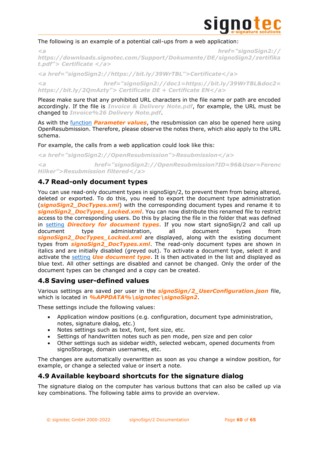

### The following is an example of a potential call-ups from a web application:

*<a href="signoSign2:// https://downloads.signotec.com/Support/Dokumente/DE/signoSign2/zertifika t.pdf"> Certificate </a>*

*<a href="signoSign2://https://bit.ly/39WrTBL">Certificate</a>*

*<a href="signoSign2://doc1=https://bit.ly/39WrTBL&doc2= https://bit.ly/2QmAzty"> Certificate DE + Certificate EN</a>*

Please make sure that any prohibited URL characters in the file name or path are encoded accordingly. If the file is *Invoice & Delivery Note.pdf*, for example, the URL must be changed to *Invoice%26 Delivery Note.pdf*.

As with the [function](#page-56-1) *Parameter values*, the resubmission can also be opened here using OpenResubmission. Therefore, please observe the notes there, which also apply to the URL schema.

For example, the calls from a web application could look like this:

*<a href="signoSign2://OpenResubmission">Resubmission</a>*

*<a href="signoSign2://OpenResubmission?ID=96&User=Ferenc Hilker">Resubmission filtered</a>*

# <span id="page-59-0"></span>**4.7 Read-only document types**

You can use read-only document types in signoSign/2, to prevent them from being altered, deleted or exported. To do this, you need to export the document type administration (*signoSign2\_DocTypes.xml*) with the corresponding document types and rename it to *signoSign2\_DocTypes\_Locked.xml*. You can now distribute this renamed file to restrict access to the corresponding users. Do this by placing the file in the folder that was defined in [setting](#page-7-2) *Directory for document types*. If you now start signoSign/2 and call up document type administration, all document types from *signoSign2\_DocTypes\_Locked.xml* are displayed, along with the existing document types from *signoSign2\_DocTypes.xml*. The read-only document types are shown in italics and are initially disabled (greyed out). To activate a document type, select it and activate the [setting](#page-26-0) *Use document type*. It is then activated in the list and displayed as blue text. All other settings are disabled and cannot be changed. Only the order of the document types can be changed and a copy can be created.

# <span id="page-59-1"></span>**4.8 Saving user-defined values**

Various settings are saved per user in the *signoSign/2\_UserConfiguration.json* file, which is located in *%APPDATA%\signotec\signoSign2*.

These settings include the following values:

- Application window positions (e.g. configuration, document type administration, notes, signature dialog, etc.)
- Notes settings such as text, font, font size, etc.
- Settings of handwritten notes such as pen mode, pen size and pen color
- Other settings such as sidebar width, selected webcam, opened documents from signoStorage, domain usernames, etc.

The changes are automatically overwritten as soon as you change a window position, for example, or change a selected value or insert a note.

# <span id="page-59-2"></span>**4.9 Available keyboard shortcuts for the signature dialog**

The signature dialog on the computer has various buttons that can also be called up via key combinations. The following table aims to provide an overview.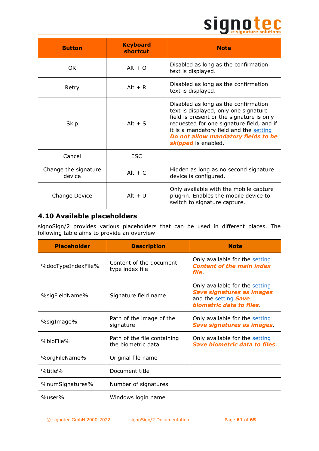# Signote C

| <b>Button</b>                  | <b>Keyboard</b><br>shortcut | <b>Note</b>                                                                                                                                                                                                                                                                      |
|--------------------------------|-----------------------------|----------------------------------------------------------------------------------------------------------------------------------------------------------------------------------------------------------------------------------------------------------------------------------|
| OK.                            | Alt + $\Omega$              | Disabled as long as the confirmation<br>text is displayed.                                                                                                                                                                                                                       |
| Retry                          | $Alt + R$                   | Disabled as long as the confirmation<br>text is displayed.                                                                                                                                                                                                                       |
| Skip                           | Alt $+ S$                   | Disabled as long as the confirmation<br>text is displayed, only one signature<br>field is present or the signature is only<br>requested for one signature field, and if<br>it is a mandatory field and the setting<br>Do not allow mandatory fields to be<br>skipped is enabled. |
| Cancel                         | <b>ESC</b>                  |                                                                                                                                                                                                                                                                                  |
| Change the signature<br>device | $Alt + C$                   | Hidden as long as no second signature<br>device is configured.                                                                                                                                                                                                                   |
| Change Device                  | $Alt + U$                   | Only available with the mobile capture<br>plug-in. Enables the mobile device to<br>switch to signature capture.                                                                                                                                                                  |

# <span id="page-60-0"></span>**4.10 Available placeholders**

signoSign/2 provides various placeholders that can be used in different places. The following table aims to provide an overview.

| <b>Placeholder</b> | <b>Description</b>                                | <b>Note</b>                                                                                                           |
|--------------------|---------------------------------------------------|-----------------------------------------------------------------------------------------------------------------------|
| %docTypeIndexFile% | Content of the document<br>type index file        | Only available for the setting<br><b>Content of the main index</b><br><i>file</i> .                                   |
| %sigFieldName%     | Signature field name                              | Only available for the setting<br><b>Save signatures as images</b><br>and the setting Save<br>biometric data to files |
| %sigImage%         | Path of the image of the<br>signature             | Only available for the setting<br><b>Save signatures as images.</b>                                                   |
| %bioFile%          | Path of the file containing<br>the biometric data | Only available for the setting<br>Save biometric data to files                                                        |
| %orgFileName%      | Original file name                                |                                                                                                                       |
| %title%            | Document title                                    |                                                                                                                       |
| %numSignatures%    | Number of signatures                              |                                                                                                                       |
| %user%             | Windows login name                                |                                                                                                                       |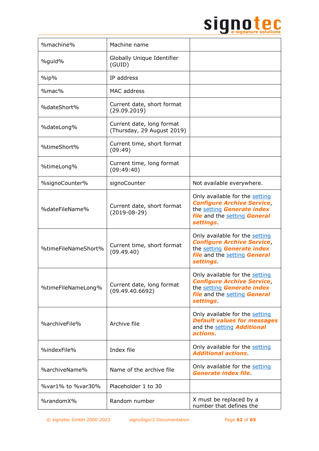

| %machine%           | Machine name                                            |                                                                                                                                                      |
|---------------------|---------------------------------------------------------|------------------------------------------------------------------------------------------------------------------------------------------------------|
| %guid%              | Globally Unique Identifier<br>(GUID)                    |                                                                                                                                                      |
| $\%$ ip $\%$        | IP address                                              |                                                                                                                                                      |
| %mac%               | MAC address                                             |                                                                                                                                                      |
| %dateShort%         | Current date, short format<br>(29.09.2019)              |                                                                                                                                                      |
| %dateLong%          | Current date, long format<br>(Thursday, 29 August 2019) |                                                                                                                                                      |
| %timeShort%         | Current time, short format<br>(09:49)                   |                                                                                                                                                      |
| %timeLong%          | Current time, long format<br>(09:49:40)                 |                                                                                                                                                      |
| %signoCounter%      | signoCounter                                            | Not available everywhere.                                                                                                                            |
| %dateFileName%      | Current date, short format<br>$(2019-08-29)$            | Only available for the setting<br><b>Configure Archive Service,</b><br>the setting Generate index<br>file and the setting General<br>settings.       |
| %timeFileNameShort% | Current time, short format<br>(09.49.40)                | Only available for the setting<br><b>Configure Archive Service,</b><br>the setting Generate index<br>file and the setting General<br>settings.       |
| %timeFileNameLong%  | Current date, long format<br>(09.49.40.6692)            | Only available for the setting<br><b>Configure Archive Service,</b><br>the setting Generate index<br>file and the setting General<br><i>settings</i> |
| %archiveFile%       | Archive file                                            | Only available for the setting<br><b>Default values for messages</b><br>and the setting <b>Additional</b><br>actions.                                |
| %indexFile%         | Index file                                              | Only available for the setting<br><b>Additional actions</b>                                                                                          |
| %archiveName%       | Name of the archive file                                | Only available for the setting<br><b>Generate index file.</b>                                                                                        |
| %var1% to %var30%   | Placeholder 1 to 30                                     |                                                                                                                                                      |
| %randomX%           | Random number                                           | X must be replaced by a<br>number that defines the                                                                                                   |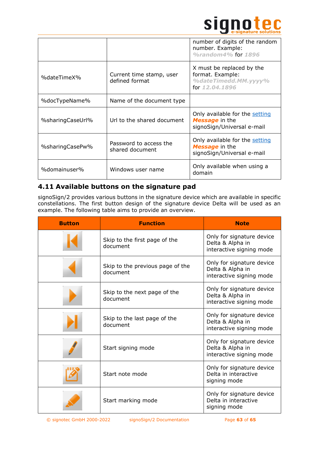

|                  |                                            | number of digits of the random<br>number. Example:<br>%random4% for 1896                |
|------------------|--------------------------------------------|-----------------------------------------------------------------------------------------|
| %dateTimeX%      | Current time stamp, user<br>defined format | X must be replaced by the<br>format. Example:<br>%dateTimedd.MM.yyyy%<br>for 12.04.1896 |
| %docTypeName%    | Name of the document type                  |                                                                                         |
| %sharingCaseUrl% | Url to the shared document                 | Only available for the setting<br>Message in the<br>signoSign/Universal e-mail          |
| %sharingCasePw%  | Password to access the<br>shared document  | Only available for the setting<br>Message in the<br>signoSign/Universal e-mail          |
| %domainuser%     | Windows user name                          | Only available when using a<br>domain                                                   |

# <span id="page-62-0"></span>**4.11 Available buttons on the signature pad**

signoSign/2 provides various buttons in the signature device which are available in specific constellations. The first button design of the signature device Delta will be used as an example. The following table aims to provide an overview.

| <b>Button</b> | <b>Function</b>                              | <b>Note</b>                                                               |
|---------------|----------------------------------------------|---------------------------------------------------------------------------|
|               | Skip to the first page of the<br>document    | Only for signature device<br>Delta & Alpha in<br>interactive signing mode |
|               | Skip to the previous page of the<br>document | Only for signature device<br>Delta & Alpha in<br>interactive signing mode |
|               | Skip to the next page of the<br>document     | Only for signature device<br>Delta & Alpha in<br>interactive signing mode |
|               | Skip to the last page of the<br>document     | Only for signature device<br>Delta & Alpha in<br>interactive signing mode |
|               | Start signing mode                           | Only for signature device<br>Delta & Alpha in<br>interactive signing mode |
|               | Start note mode                              | Only for signature device<br>Delta in interactive<br>signing mode         |
|               | Start marking mode                           | Only for signature device<br>Delta in interactive<br>signing mode         |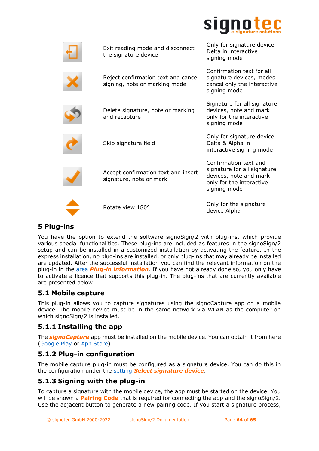

| Exit reading mode and disconnect<br>the signature device             | Only for signature device<br>Delta in interactive<br>signing mode                                                          |
|----------------------------------------------------------------------|----------------------------------------------------------------------------------------------------------------------------|
| Reject confirmation text and cancel<br>signing, note or marking mode | Confirmation text for all<br>signature devices, modes<br>cancel only the interactive<br>signing mode                       |
| Delete signature, note or marking<br>and recapture                   | Signature for all signature<br>devices, note and mark<br>only for the interactive<br>signing mode                          |
| Skip signature field                                                 | Only for signature device<br>Delta & Alpha in<br>interactive signing mode                                                  |
| Accept confirmation text and insert<br>signature, note or mark       | Confirmation text and<br>signature for all signature<br>devices, note and mark<br>only for the interactive<br>signing mode |
| Rotate view 180°                                                     | Only for the signature<br>device Alpha                                                                                     |

# <span id="page-63-0"></span>**5 Plug-ins**

You have the option to extend the software signoSign/2 with plug-ins, which provide various special functionalities. These plug-ins are included as features in the signoSign/2 setup and can be installed in a customized installation by activating the feature. In the express installation, no plug-ins are installed, or only plug-ins that may already be installed are updated. After the successful installation you can find the relevant information on the plug-in in the [area](#page-24-1) *Plug-in information*. If you have not already done so, you only have to activate a licence that supports this plug-in. The plug-ins that are currently available are presented below:

# <span id="page-63-1"></span>**5.1 Mobile capture**

This plug-in allows you to capture signatures using the signoCapture app on a mobile device. The mobile device must be in the same network via WLAN as the computer on which signoSign/2 is installed.

# <span id="page-63-2"></span>**5.1.1 Installing the app**

The *signoCapture* app must be installed on the mobile device. You can obtain it from here [\(Google Play](https://play.google.com/store/apps/details?id=de.signotec.signoCapture&hl=en) or [App Store\)](https://apps.apple.com/us/app/signocapture/id1135853001).

# <span id="page-63-3"></span>**5.1.2 Plug-in configuration**

The mobile capture plug-in must be configured as a signature device. You can do this in the configuration under the [setting](#page-15-0) *Select signature device*.

# <span id="page-63-4"></span>**5.1.3 Signing with the plug-in**

To capture a signature with the mobile device, the app must be started on the device. You will be shown a **Pairing Code** that is required for connecting the app and the signoSign/2. Use the adjacent button to generate a new pairing code. If you start a signature process,